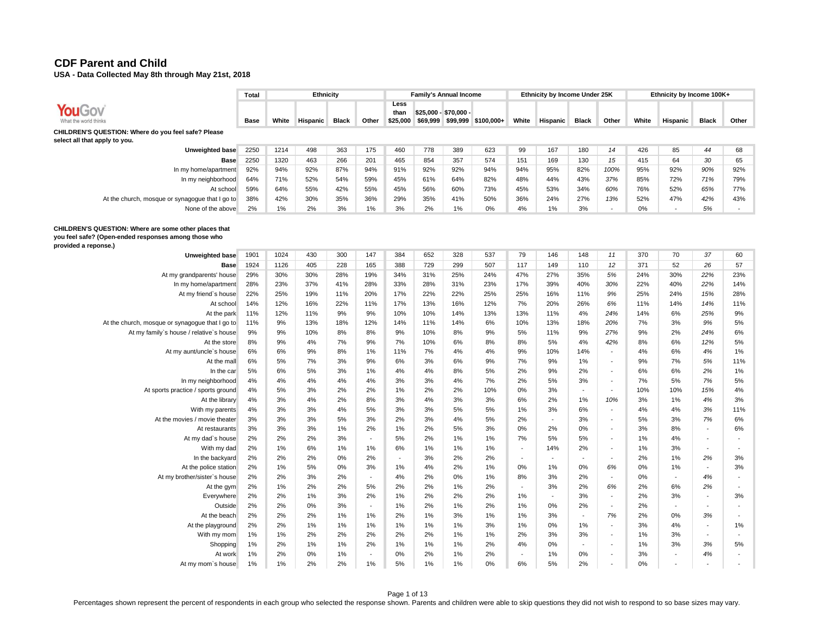**USA - Data Collected May 8th through May 21st, 2018** 

|                                                                                      | Total       |       | <b>Ethnicity</b> |              |       |                          |          | <b>Family's Annual Income</b>     |            |       | Ethnicity by Income Under 25K |              |       |       | Ethnicity by Income 100K+ |              |       |
|--------------------------------------------------------------------------------------|-------------|-------|------------------|--------------|-------|--------------------------|----------|-----------------------------------|------------|-------|-------------------------------|--------------|-------|-------|---------------------------|--------------|-------|
| YouGov<br>What the world thinks                                                      | <b>Base</b> | White | Hispanic         | <b>Black</b> | Other | Less<br>than<br>\$25,000 | \$69,999 | \$25.000 - \$70.000 -<br>\$99,999 | \$100.000+ | White | <b>Hispanic</b>               | <b>Black</b> | Other | White | Hispanic                  | <b>Black</b> | Other |
| CHILDREN'S QUESTION: Where do you feel safe? Please<br>select all that apply to you. |             |       |                  |              |       |                          |          |                                   |            |       |                               |              |       |       |                           |              |       |
| Unweighted base                                                                      | 2250        | 1214  | 498              | 363          | 175   | 460                      | 778      | 389                               | 623        | 99    | 167                           | 180          | 14    | 426   | 85                        | 44           | 68    |
| Base                                                                                 | 2250        | 1320  | 463              | 266          | 201   | 465                      | 854      | 357                               | 574        | 151   | 169                           | 130          | 15    | 415   | 64                        | 30           | 65    |
| In my home/apartment                                                                 | 92%         | 94%   | 92%              | 87%          | 94%   | 91%                      | 92%      | 92%                               | 94%        | 94%   | 95%                           | 82%          | 100%  | 95%   | 92%                       | 90%          | 92%   |
| In my neighborhood                                                                   | 64%         | 71%   | 52%              | 54%          | 59%   | 45%                      | 61%      | 64%                               | 82%        | 48%   | 44%                           | 43%          | 37%   | 85%   | 72%                       | 71%          | 79%   |
| At school                                                                            | 59%         | 64%   | 55%              | 42%          | 55%   | 45%                      | 56%      | 60%                               | 73%        | 45%   | 53%                           | 34%          | 60%   | 76%   | 52%                       | 65%          | 77%   |
| At the church, mosque or synagogue that I go to                                      | 38%         | 42%   | 30%              | 35%          | 36%   | 29%                      | 35%      | 41%                               | 50%        | 36%   | 24%                           | 27%          | 13%   | 52%   | 47%                       | 42%          | 43%   |
| None of the above                                                                    | 2%          | 1%    | 2%               | 3%           | $1\%$ | 3%                       | 2%       | 1%                                | 0%         | 4%    | 1%                            | 3%           |       | 0%    | $\overline{\phantom{a}}$  | 5%           |       |
| CHILDREN'S QUESTION: Where are some other places that                                |             |       |                  |              |       |                          |          |                                   |            |       |                               |              |       |       |                           |              |       |

#### **you feel safe? (Open-ended responses among those who**

**provided a reponse.)**

| Unweighted base                                 | 1901 | 1024 | 430 | 300 | 147                      | 384                      | 652 | 328 | 537 | 79                       | 146                      | 148                      | 11                       | 370 | 70  | 37                       | 60  |
|-------------------------------------------------|------|------|-----|-----|--------------------------|--------------------------|-----|-----|-----|--------------------------|--------------------------|--------------------------|--------------------------|-----|-----|--------------------------|-----|
| <b>Base</b>                                     | 1924 | 1126 | 405 | 228 | 165                      | 388                      | 729 | 299 | 507 | 117                      | 149                      | 110                      | 12                       | 371 | 52  | 26                       | 57  |
| At my grandparents' house                       | 29%  | 30%  | 30% | 28% | 19%                      | 34%                      | 31% | 25% | 24% | 47%                      | 27%                      | 35%                      | 5%                       | 24% | 30% | 22%                      | 23% |
| In my home/apartment                            | 28%  | 23%  | 37% | 41% | 28%                      | 33%                      | 28% | 31% | 23% | 17%                      | 39%                      | 40%                      | 30%                      | 22% | 40% | 22%                      | 14% |
| At my friend's house                            | 22%  | 25%  | 19% | 11% | 20%                      | 17%                      | 22% | 22% | 25% | 25%                      | 16%                      | 11%                      | 9%                       | 25% | 24% | 15%                      | 28% |
| At school                                       | 14%  | 12%  | 16% | 22% | 11%                      | 17%                      | 13% | 16% | 12% | 7%                       | 20%                      | 26%                      | 6%                       | 11% | 14% | 14%                      | 11% |
| At the park                                     | 11%  | 12%  | 11% | 9%  | 9%                       | 10%                      | 10% | 14% | 13% | 13%                      | 11%                      | 4%                       | 24%                      | 14% | 6%  | 25%                      | 9%  |
| At the church, mosque or synagogue that I go to | 11%  | 9%   | 13% | 18% | 12%                      | 14%                      | 11% | 14% | 6%  | 10%                      | 13%                      | 18%                      | 20%                      | 7%  | 3%  | 9%                       | 5%  |
| At my family's house / relative's house         | 9%   | 9%   | 10% | 8%  | 8%                       | 9%                       | 10% | 8%  | 9%  | 5%                       | 11%                      | 9%                       | 27%                      | 9%  | 2%  | 24%                      | 6%  |
| At the store                                    | 8%   | 9%   | 4%  | 7%  | 9%                       | 7%                       | 10% | 6%  | 8%  | 8%                       | 5%                       | 4%                       | 42%                      | 8%  | 6%  | 12%                      | 5%  |
| At my aunt/uncle's house                        | 6%   | 6%   | 9%  | 8%  | 1%                       | 11%                      | 7%  | 4%  | 4%  | 9%                       | 10%                      | 14%                      | $\overline{a}$           | 4%  | 6%  | 4%                       | 1%  |
| At the mall                                     | 6%   | 5%   | 7%  | 3%  | 9%                       | 6%                       | 3%  | 6%  | 9%  | 7%                       | 9%                       | 1%                       | $\overline{\phantom{a}}$ | 9%  | 7%  | 5%                       | 11% |
| In the car                                      | 5%   | 6%   | 5%  | 3%  | 1%                       | 4%                       | 4%  | 8%  | 5%  | 2%                       | 9%                       | 2%                       | $\overline{\phantom{a}}$ | 6%  | 6%  | 2%                       | 1%  |
| In my neighborhood                              | 4%   | 4%   | 4%  | 4%  | 4%                       | 3%                       | 3%  | 4%  | 7%  | 2%                       | 5%                       | 3%                       | $\overline{\phantom{a}}$ | 7%  | 5%  | 7%                       | 5%  |
| At sports practice / sports ground              | 4%   | 5%   | 3%  | 2%  | 2%                       | 1%                       | 2%  | 2%  | 10% | 0%                       | 3%                       | $\overline{\phantom{a}}$ | $\overline{\phantom{a}}$ | 10% | 10% | 15%                      | 4%  |
| At the library                                  | 4%   | 3%   | 4%  | 2%  | 8%                       | 3%                       | 4%  | 3%  | 3%  | 6%                       | 2%                       | 1%                       | 10%                      | 3%  | 1%  | 4%                       | 3%  |
| With my parents                                 | 4%   | 3%   | 3%  | 4%  | 5%                       | 3%                       | 3%  | 5%  | 5%  | 1%                       | 3%                       | 6%                       | $\overline{\phantom{a}}$ | 4%  | 4%  | 3%                       | 11% |
| At the movies / movie theater                   | 3%   | 3%   | 3%  | 5%  | 3%                       | 2%                       | 3%  | 4%  | 5%  | 2%                       | $\overline{\phantom{a}}$ | 3%                       | $\overline{\phantom{a}}$ | 5%  | 3%  | 7%                       | 6%  |
| At restaurants                                  | 3%   | 3%   | 3%  | 1%  | 2%                       | 1%                       | 2%  | 5%  | 3%  | 0%                       | 2%                       | 0%                       | $\overline{\phantom{a}}$ | 3%  | 8%  | $\overline{\phantom{a}}$ | 6%  |
| At my dad's house                               | 2%   | 2%   | 2%  | 3%  | $\overline{\phantom{a}}$ | 5%                       | 2%  | 1%  | 1%  | 7%                       | 5%                       | 5%                       | $\overline{\phantom{a}}$ | 1%  | 4%  |                          |     |
| With my dad                                     | 2%   | 1%   | 6%  | 1%  | 1%                       | 6%                       | 1%  | 1%  | 1%  | $\overline{\phantom{a}}$ | 14%                      | 2%                       | $\overline{\phantom{a}}$ | 1%  | 3%  |                          |     |
| In the backyard                                 | 2%   | 2%   | 2%  | 0%  | 2%                       | $\overline{\phantom{a}}$ | 3%  | 2%  | 2%  | $\overline{\phantom{a}}$ | $\overline{\phantom{a}}$ | $\overline{\phantom{a}}$ | $\overline{\phantom{a}}$ | 2%  | 1%  | 2%                       | 3%  |
| At the police station                           | 2%   | 1%   | 5%  | 0%  | 3%                       | 1%                       | 4%  | 2%  | 1%  | 0%                       | 1%                       | 0%                       | 6%                       | 0%  | 1%  |                          | 3%  |
| At my brother/sister's house                    | 2%   | 2%   | 3%  | 2%  | $\overline{\phantom{a}}$ | 4%                       | 2%  | 0%  | 1%  | 8%                       | 3%                       | 2%                       |                          | 0%  |     | 4%                       |     |
| At the gym                                      | 2%   | 1%   | 2%  | 2%  | 5%                       | 2%                       | 2%  | 1%  | 2%  |                          | 3%                       | 2%                       | 6%                       | 2%  | 6%  | 2%                       |     |
| Everywhere                                      | 2%   | 2%   | 1%  | 3%  | 2%                       | 1%                       | 2%  | 2%  | 2%  | 1%                       | $\overline{\phantom{a}}$ | 3%                       | $\overline{\phantom{a}}$ | 2%  | 3%  | $\overline{\phantom{a}}$ | 3%  |
| Outside                                         | 2%   | 2%   | 0%  | 3%  | $\overline{\phantom{a}}$ | 1%                       | 2%  | 1%  | 2%  | 1%                       | 0%                       | 2%                       | $\overline{\phantom{a}}$ | 2%  |     | $\overline{\phantom{a}}$ |     |
| At the beach                                    | 2%   | 2%   | 2%  | 1%  | 1%                       | 2%                       | 1%  | 3%  | 1%  | 1%                       | 3%                       | $\overline{\phantom{a}}$ | 7%                       | 2%  | 0%  | 3%                       |     |
| At the playground                               | 2%   | 2%   | 1%  | 1%  | 1%                       | 1%                       | 1%  | 1%  | 3%  | 1%                       | 0%                       | 1%                       |                          | 3%  | 4%  |                          | 1%  |
| With my mom                                     | 1%   | 1%   | 2%  | 2%  | 2%                       | 2%                       | 2%  | 1%  | 1%  | 2%                       | 3%                       | 3%                       | $\overline{\phantom{a}}$ | 1%  | 3%  | $\overline{\phantom{a}}$ |     |
| Shopping                                        | 1%   | 2%   | 1%  | 1%  | 2%                       | 1%                       | 1%  | 1%  | 2%  | 4%                       | 0%                       | $\sim$                   | $\overline{\phantom{a}}$ | 1%  | 3%  | 3%                       | 5%  |
| At work                                         | 1%   | 2%   | 0%  | 1%  | $\overline{\phantom{a}}$ | 0%                       | 2%  | 1%  | 2%  | $\overline{\phantom{a}}$ | 1%                       | $0\%$                    | $\overline{\phantom{a}}$ | 3%  |     | 4%                       |     |
| At my mom's house                               | 1%   | 1%   | 2%  | 2%  | 1%                       | 5%                       | 1%  | 1%  | 0%  | 6%                       | 5%                       | 2%                       | $\overline{\phantom{a}}$ | 0%  |     |                          |     |
|                                                 |      |      |     |     |                          |                          |     |     |     |                          |                          |                          |                          |     |     |                          |     |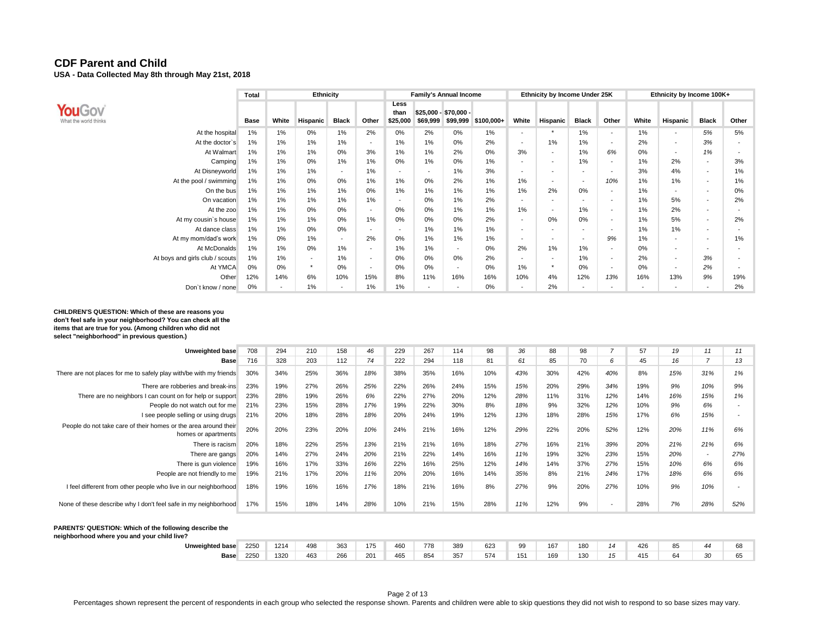|                                 | Total | <b>Ethnicity</b>         |                          |                          |                          |                          |          | <b>Family's Annual Income</b>     |             |                          | Ethnicity by Income Under 25K |                          |                          |       | Ethnicity by Income 100K+ |                          |       |
|---------------------------------|-------|--------------------------|--------------------------|--------------------------|--------------------------|--------------------------|----------|-----------------------------------|-------------|--------------------------|-------------------------------|--------------------------|--------------------------|-------|---------------------------|--------------------------|-------|
| YouGov<br>What the world thinks | Base  | White                    | Hispanic                 | <b>Black</b>             | Other                    | Less<br>than<br>\$25,000 | \$69,999 | $$25,000 - $70,000 -$<br>\$99,999 | $$100,000+$ | White                    | <b>Hispanic</b>               | <b>Black</b>             | Other                    | White | Hispanic                  | <b>Black</b>             | Other |
| At the hospital                 | 1%    | 1%                       | 0%                       | 1%                       | 2%                       | 0%                       | 2%       | 0%                                | 1%          |                          |                               | 1%                       | <b>-</b>                 | 1%    | $\sim$                    | 5%                       | 5%    |
| At the doctor's                 | 1%    | 1%                       | 1%                       | 1%                       | $\overline{\phantom{a}}$ | 1%                       | 1%       | 0%                                | 2%          | $\overline{\phantom{a}}$ | 1%                            | 1%                       | $\overline{\phantom{a}}$ | 2%    | $\overline{\phantom{a}}$  | 3%                       |       |
| At Walmart                      | 1%    | 1%                       | 1%                       | 0%                       | 3%                       | 1%                       | 1%       | 2%                                | 0%          | 3%                       | $\overline{\phantom{a}}$      | 1%                       | 6%                       | 0%    | $\sim$                    | 1%                       |       |
| Camping                         | 1%    | 1%                       | 0%                       | 1%                       | 1%                       | 0%                       | 1%       | 0%                                | 1%          |                          | $\overline{\phantom{a}}$      | 1%                       | $\overline{\phantom{a}}$ | 1%    | 2%                        | <b>.</b>                 | 3%    |
| At Disneyworld                  | 1%    | 1%                       | 1%                       | $\overline{\phantom{a}}$ | 1%                       |                          |          | $1\%$                             | 3%          | $\overline{\phantom{a}}$ |                               | $\overline{\phantom{a}}$ | <b>-</b>                 | 3%    | 4%                        | $\overline{\phantom{a}}$ | 1%    |
| At the pool / swimming          | 1%    | 1%                       | 0%                       | 0%                       | 1%                       | 1%                       | 0%       | 2%                                | 1%          | 1%                       | $\overline{\phantom{a}}$      | $\overline{\phantom{a}}$ | 10%                      | 1%    | 1%                        | $\overline{\phantom{a}}$ | 1%    |
| On the bus                      | 1%    | 1%                       | 1%                       | 1%                       | 0%                       | 1%                       | 1%       | 1%                                | 1%          | 1%                       | 2%                            | 0%                       | <b>-</b>                 | 1%    | $\overline{\phantom{a}}$  | $\overline{\phantom{a}}$ | 0%    |
| On vacation                     | 1%    | 1%                       | 1%                       | 1%                       | 1%                       | <b>.</b>                 | 0%       | $1\%$                             | 2%          | $\overline{\phantom{a}}$ | $\overline{\phantom{a}}$      | $\overline{\phantom{a}}$ | <b>-</b>                 | 1%    | 5%                        | $\overline{\phantom{a}}$ | 2%    |
| At the zoo                      | 1%    | 1%                       | 0%                       | 0%                       | $\overline{\phantom{a}}$ | 0%                       | 0%       | 1%                                | 1%          | 1%                       | $\overline{\phantom{a}}$      | 1%                       | $\overline{\phantom{a}}$ | 1%    | 2%                        | $\overline{\phantom{a}}$ |       |
| At my cousin's house            | 1%    | 1%                       | 1%                       | 0%                       | 1%                       | $0\%$                    | 0%       | $0\%$                             | 2%          | $\overline{\phantom{a}}$ | 0%                            | 0%                       | $\overline{\phantom{a}}$ | 1%    | 5%                        | $\overline{\phantom{a}}$ | 2%    |
| At dance class                  | 1%    | 1%                       | 0%                       | 0%                       | $\overline{\phantom{a}}$ |                          | 1%       | 1%                                | 1%          | $\overline{\phantom{0}}$ | $\overline{\phantom{a}}$      | $\overline{\phantom{a}}$ | $\overline{\phantom{a}}$ | 1%    | 1%                        | $\overline{\phantom{a}}$ |       |
| At my mom/dad's work            | 1%    | 0%                       | 1%                       | $\overline{\phantom{a}}$ | 2%                       | $0\%$                    | 1%       | 1%                                | 1%          | $\overline{\phantom{a}}$ | $\overline{\phantom{a}}$      | $\overline{\phantom{a}}$ | 9%                       | 1%    | $\overline{\phantom{a}}$  | $\overline{\phantom{a}}$ | 1%    |
| At McDonalds                    | 1%    | 1%                       | 0%                       | 1%                       | $\overline{\phantom{a}}$ | 1%                       | 1%       | $\overline{\phantom{a}}$          | 0%          | 2%                       | 1%                            | 1%                       | $\overline{\phantom{a}}$ | 0%    | $\overline{\phantom{a}}$  |                          |       |
| At boys and girls club / scouts | 1%    | 1%                       | $\overline{\phantom{a}}$ | 1%                       | $\overline{\phantom{a}}$ | 0%                       | 0%       | 0%                                | 2%          | $\overline{\phantom{a}}$ | $\overline{\phantom{a}}$      | 1%                       | <b>-</b>                 | 2%    | $\overline{\phantom{a}}$  | 3%                       |       |
| At YMCA                         | 0%    | 0%                       | $\star$                  | 0%                       | $\overline{\phantom{a}}$ | $0\%$                    | 0%       | $\overline{\phantom{a}}$          | 0%          | 1%                       | $\ddot{}$                     | 0%                       | $\overline{\phantom{a}}$ | 0%    | $\overline{\phantom{a}}$  | 2%                       |       |
| Other                           | 12%   | 14%                      | 6%                       | 10%                      | 15%                      | 8%                       | 11%      | 16%                               | 16%         | 10%                      | 4%                            | 12%                      | 13%                      | 16%   | 13%                       | 9%                       | 19%   |
| Don't know / none               | 0%    | $\overline{\phantom{0}}$ | 1%                       | $\overline{\phantom{a}}$ | 1%                       | 1%                       |          |                                   | 0%          | $\overline{\phantom{a}}$ | 2%                            | $\overline{\phantom{a}}$ |                          |       | $\sim$                    |                          | 2%    |

#### **CHILDREN'S QUESTION: Which of these are reasons you don't feel safe in your neighborhood? You can check all the items that are true for you. (Among children who did not select "neighborhood" in previous question.)**

| Unweighted base                                                                        | 708 | 294 | 210 | 158 | 46  | 229 | 267 | 114 | 98  | 36  | 88  | 98  |     | 57  | 19  | 11                       | 11  |
|----------------------------------------------------------------------------------------|-----|-----|-----|-----|-----|-----|-----|-----|-----|-----|-----|-----|-----|-----|-----|--------------------------|-----|
| <b>Base</b>                                                                            | 716 | 328 | 203 | 112 | 74  | 222 | 294 | 118 | 81  | 61  | 85  | 70  | 6   | 45  | 16  |                          | 13  |
| There are not places for me to safely play with/be with my friends                     | 30% | 34% | 25% | 36% | 18% | 38% | 35% | 16% | 10% | 43% | 30% | 42% | 40% | 8%  | 15% | 31%                      | 1%  |
| There are robberies and break-ins                                                      | 23% | 19% | 27% | 26% | 25% | 22% | 26% | 24% | 15% | 15% | 20% | 29% | 34% | 19% | 9%  | 10%                      | 9%  |
| There are no neighbors I can count on for help or support                              | 23% | 28% | 19% | 26% | 6%  | 22% | 27% | 20% | 12% | 28% | 11% | 31% | 12% | 14% | 16% | 15%                      | 1%  |
| People do not watch out for me                                                         | 21% | 23% | 15% | 28% | 17% | 19% | 22% | 30% | 8%  | 18% | 9%  | 32% | 12% | 10% | 9%  | 6%                       |     |
| I see people selling or using drugs                                                    | 21% | 20% | 18% | 28% | 18% | 20% | 24% | 19% | 12% | 13% | 18% | 28% | 15% | 17% | 6%  | 15%                      |     |
| People do not take care of their homes or the area around their<br>homes or apartments | 20% | 20% | 23% | 20% | 10% | 24% | 21% | 16% | 12% | 29% | 22% | 20% | 52% | 12% | 20% | 11%                      | 6%  |
| There is racism                                                                        | 20% | 18% | 22% | 25% | 13% | 21% | 21% | 16% | 18% | 27% | 16% | 21% | 39% | 20% | 21% | 21%                      | 6%  |
| There are gangs                                                                        | 20% | 14% | 27% | 24% | 20% | 21% | 22% | 14% | 16% | 11% | 19% | 32% | 23% | 15% | 20% | $\overline{\phantom{a}}$ | 27% |
| There is gun violence                                                                  | 19% | 16% | 17% | 33% | 16% | 22% | 16% | 25% | 12% | 14% | 14% | 37% | 27% | 15% | 10% | 6%                       | 6%  |
| People are not friendly to me                                                          | 19% | 21% | 17% | 20% | 11% | 20% | 20% | 16% | 14% | 35% | 8%  | 21% | 24% | 17% | 18% | 6%                       | 6%  |
| I feel different from other people who live in our neighborhood                        | 18% | 19% | 16% | 16% | 17% | 18% | 21% | 16% | 8%  | 27% | 9%  | 20% | 27% | 10% | 9%  | 10%                      |     |
| None of these describe why I don't feel safe in my neighborhood                        | 17% | 15% | 18% | 14% | 28% | 10% | 21% | 15% | 28% | 11% | 12% | 9%  | -   | 28% | 7%  | 28%                      | 52% |

#### **PARENTS' QUESTION: Which of the following describe the neighborhood where you and your child live?**

**Unweighted base** 2250 1214 498 363 175 460 778 389 623 99 167 180 *14* 426 85 *44* 68 **Base** 2250 1320 463 266 201 465 854 357 574 151 169 130 *15* 415 64 *30* 65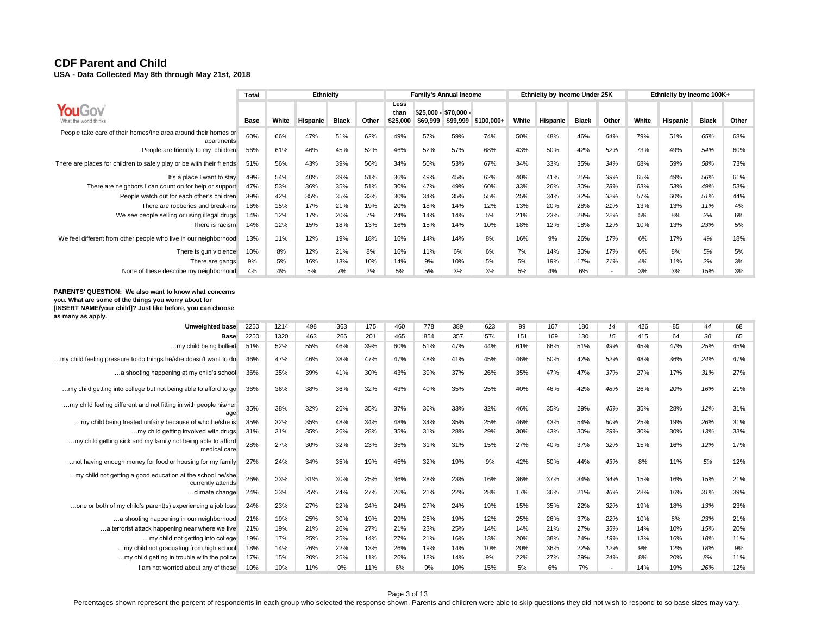**USA - Data Collected May 8th through May 21st, 2018** 

|                                                                              | Total |       | Ethnicity |              |       |                          |          | <b>Family's Annual Income</b>     |            |       | Ethnicity by Income Under 25K |              |       |       | Ethnicity by Income 100K+ |              |       |
|------------------------------------------------------------------------------|-------|-------|-----------|--------------|-------|--------------------------|----------|-----------------------------------|------------|-------|-------------------------------|--------------|-------|-------|---------------------------|--------------|-------|
| What the world thinks                                                        | Base  | White | Hispanic  | <b>Black</b> | Other | Less<br>than<br>\$25,000 | \$69.999 | $$25,000 - $70,000 -$<br>\$99,999 | \$100,000+ | White | Hispanic                      | <b>Black</b> | Other | White | Hispanic                  | <b>Black</b> | Other |
| People take care of their homes/the area around their homes or<br>apartments | 60%   | 66%   | 47%       | 51%          | 62%   | 49%                      | 57%      | 59%                               | 74%        | 50%   | 48%                           | 46%          | 64%   | 79%   | 51%                       | 65%          | 68%   |
| People are friendly to my children                                           | 56%   | 61%   | 46%       | 45%          | 52%   | 46%                      | 52%      | 57%                               | 68%        | 43%   | 50%                           | 42%          | 52%   | 73%   | 49%                       | 54%          | 60%   |
| There are places for children to safely play or be with their friends        | 51%   | 56%   | 43%       | 39%          | 56%   | 34%                      | 50%      | 53%                               | 67%        | 34%   | 33%                           | 35%          | 34%   | 68%   | 59%                       | 58%          | 73%   |
| It's a place I want to stay                                                  | 49%   | 54%   | 40%       | 39%          | 51%   | 36%                      | 49%      | 45%                               | 62%        | 40%   | 41%                           | 25%          | 39%   | 65%   | 49%                       | 56%          | 61%   |
| There are neighbors I can count on for help or support                       | 47%   | 53%   | 36%       | 35%          | 51%   | 30%                      | 47%      | 49%                               | 60%        | 33%   | 26%                           | 30%          | 28%   | 63%   | 53%                       | 49%          | 53%   |
| People watch out for each other's children                                   | 39%   | 42%   | 35%       | 35%          | 33%   | 30%                      | 34%      | 35%                               | 55%        | 25%   | 34%                           | 32%          | 32%   | 57%   | 60%                       | 51%          | 44%   |
| There are robberies and break-ins                                            | 16%   | 15%   | 17%       | 21%          | 19%   | 20%                      | 18%      | 14%                               | 12%        | 13%   | 20%                           | 28%          | 21%   | 13%   | 13%                       | 11%          | 4%    |
| We see people selling or using illegal drugs                                 | 14%   | 12%   | 17%       | 20%          | 7%    | 24%                      | 14%      | 14%                               | 5%         | 21%   | 23%                           | 28%          | 22%   | 5%    | 8%                        | 2%           | 6%    |
| There is racism                                                              | 14%   | 12%   | 15%       | 18%          | 13%   | 16%                      | 15%      | 14%                               | 10%        | 18%   | 12%                           | 18%          | 12%   | 10%   | 13%                       | 23%          | 5%    |
| We feel different from other people who live in our neighborhood             | 13%   | 11%   | 12%       | 19%          | 18%   | 16%                      | 14%      | 14%                               | 8%         | 16%   | 9%                            | 26%          | 17%   | 6%    | 17%                       | 4%           | 18%   |
| There is gun violence                                                        | 10%   | 8%    | 12%       | 21%          | 8%    | 16%                      | 11%      | 6%                                | 6%         | 7%    | 14%                           | 30%          | 17%   | 6%    | 8%                        | 5%           | 5%    |
| There are gangs                                                              | 9%    | 5%    | 16%       | 13%          | 10%   | 14%                      | 9%       | 10%                               | 5%         | 5%    | 19%                           | 17%          | 21%   | 4%    | 11%                       | 2%           | 3%    |
| None of these describe my neighborhood                                       | 4%    | 4%    | 5%        | 7%           | 2%    | 5%                       | 5%       | 3%                                | 3%         | 5%    | 4%                            | 6%           |       | 3%    | 3%                        | 15%          | 3%    |

**PARENTS' QUESTION: We also want to know what concerns you. What are some of the things you worry about for [INSERT NAME/your child]? Just like before, you can choose as many as apply.**

| Unweighted base                                                                 | 2250 | 1214 | 498 | 363 | 175 | 460 | 778 | 389 | 623 | 99  | 167 | 180 | 14  | 426 | 85  | 44  | 68  |
|---------------------------------------------------------------------------------|------|------|-----|-----|-----|-----|-----|-----|-----|-----|-----|-----|-----|-----|-----|-----|-----|
| <b>Base</b>                                                                     | 2250 | 1320 | 463 | 266 | 201 | 465 | 854 | 357 | 574 | 151 | 169 | 130 | 15  | 415 | 64  | 30  | 65  |
| my child being bullied                                                          | 51%  | 52%  | 55% | 46% | 39% | 60% | 51% | 47% | 44% | 61% | 66% | 51% | 49% | 45% | 47% | 25% | 45% |
| .my child feeling pressure to do things he/she doesn't want to do               | 46%  | 47%  | 46% | 38% | 47% | 47% | 48% | 41% | 45% | 46% | 50% | 42% | 52% | 48% | 36% | 24% | 47% |
| a shooting happening at my child's school                                       | 36%  | 35%  | 39% | 41% | 30% | 43% | 39% | 37% | 26% | 35% | 47% | 47% | 37% | 27% | 17% | 31% | 27% |
| my child getting into college but not being able to afford to go                | 36%  | 36%  | 38% | 36% | 32% | 43% | 40% | 35% | 25% | 40% | 46% | 42% | 48% | 26% | 20% | 16% | 21% |
| my child feeling different and not fitting in with people his/her<br>age        | 35%  | 38%  | 32% | 26% | 35% | 37% | 36% | 33% | 32% | 46% | 35% | 29% | 45% | 35% | 28% | 12% | 31% |
| my child being treated unfairly because of who he/she is                        | 35%  | 32%  | 35% | 48% | 34% | 48% | 34% | 35% | 25% | 46% | 43% | 54% | 60% | 25% | 19% | 26% | 31% |
| my child getting involved with drugs                                            | 31%  | 31%  | 35% | 26% | 28% | 35% | 31% | 28% | 29% | 30% | 43% | 30% | 29% | 30% | 30% | 13% | 33% |
| my child getting sick and my family not being able to afford<br>medical care    | 28%  | 27%  | 30% | 32% | 23% | 35% | 31% | 31% | 15% | 27% | 40% | 37% | 32% | 15% | 16% | 12% | 17% |
| not having enough money for food or housing for my family                       | 27%  | 24%  | 34% | 35% | 19% | 45% | 32% | 19% | 9%  | 42% | 50% | 44% | 43% | 8%  | 11% | 5%  | 12% |
| my child not getting a good education at the school he/she<br>currently attends | 26%  | 23%  | 31% | 30% | 25% | 36% | 28% | 23% | 16% | 36% | 37% | 34% | 34% | 15% | 16% | 15% | 21% |
| climate change                                                                  | 24%  | 23%  | 25% | 24% | 27% | 26% | 21% | 22% | 28% | 17% | 36% | 21% | 46% | 28% | 16% | 31% | 39% |
| one or both of my child's parent(s) experiencing a job loss                     | 24%  | 23%  | 27% | 22% | 24% | 24% | 27% | 24% | 19% | 15% | 35% | 22% | 32% | 19% | 18% | 13% | 23% |
| a shooting happening in our neighborhood                                        | 21%  | 19%  | 25% | 30% | 19% | 29% | 25% | 19% | 12% | 25% | 26% | 37% | 22% | 10% | 8%  | 23% | 21% |
| a terrorist attack happening near where we live                                 | 21%  | 19%  | 21% | 26% | 27% | 21% | 23% | 25% | 14% | 14% | 21% | 27% | 35% | 14% | 10% | 15% | 20% |
| my child not getting into college                                               | 19%  | 17%  | 25% | 25% | 14% | 27% | 21% | 16% | 13% | 20% | 38% | 24% | 19% | 13% | 16% | 18% | 11% |
| my child not graduating from high school                                        | 18%  | 14%  | 26% | 22% | 13% | 26% | 19% | 14% | 10% | 20% | 36% | 22% | 12% | 9%  | 12% | 18% | 9%  |
| my child getting in trouble with the police                                     | 17%  | 15%  | 20% | 25% | 11% | 26% | 18% | 14% | 9%  | 22% | 27% | 29% | 24% | 8%  | 20% | 8%  | 11% |
| I am not worried about any of these                                             | 10%  | 10%  | 11% | 9%  | 11% | 6%  | 9%  | 10% | 15% | 5%  | 6%  | 7%  |     | 14% | 19% | 26% | 12% |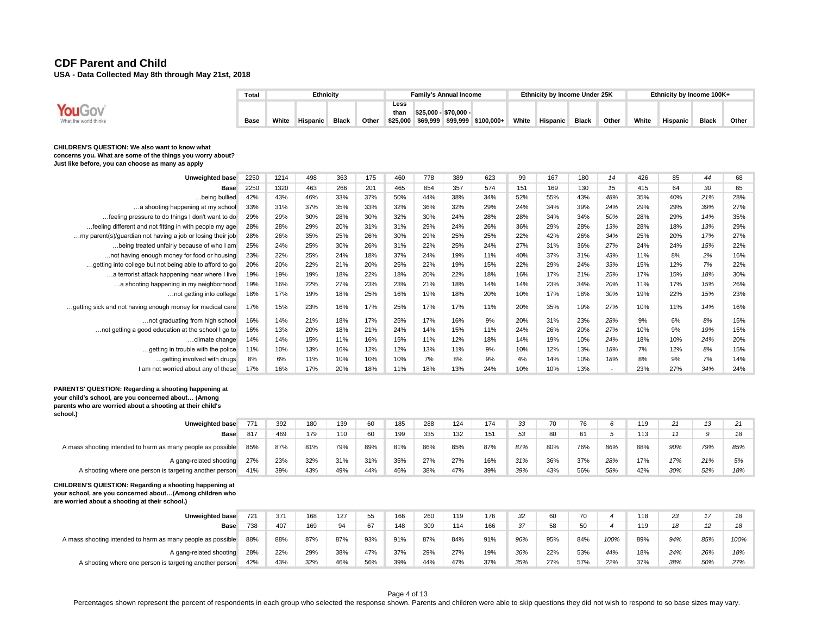|                                                                                                                                                                                      | Total |       | Ethnicity |              |       |                          |                       | <b>Family's Annual Income</b> |                              |       | Ethnicity by Income Under 25K |              |                          |       | Ethnicity by Income 100K+ |              |       |
|--------------------------------------------------------------------------------------------------------------------------------------------------------------------------------------|-------|-------|-----------|--------------|-------|--------------------------|-----------------------|-------------------------------|------------------------------|-------|-------------------------------|--------------|--------------------------|-------|---------------------------|--------------|-------|
| YouGov<br>What the world thinks                                                                                                                                                      | Base  | White | Hispanic  | <b>Black</b> | Other | Less<br>than<br>\$25,000 | \$25,000 - \$70,000 - |                               | \$69,999 \$99,999 \$100,000+ | White | Hispanic                      | <b>Black</b> | Other                    | White | Hispanic                  | <b>Black</b> | Other |
| CHILDREN'S QUESTION: We also want to know what<br>concerns you. What are some of the things you worry about?<br>Just like before, you can choose as many as apply                    |       |       |           |              |       |                          |                       |                               |                              |       |                               |              |                          |       |                           |              |       |
| Unweighted base                                                                                                                                                                      | 2250  | 1214  | 498       | 363          | 175   | 460                      | 778                   | 389                           | 623                          | 99    | 167                           | 180          | 14                       | 426   | 85                        | 44           | 68    |
| Base                                                                                                                                                                                 | 2250  | 1320  | 463       | 266          | 201   | 465                      | 854                   | 357                           | 574                          | 151   | 169                           | 130          | 15                       | 415   | 64                        | 30           | 65    |
| being bullied                                                                                                                                                                        | 42%   | 43%   | 46%       | 33%          | 37%   | 50%                      | 44%                   | 38%                           | 34%                          | 52%   | 55%                           | 43%          | 48%                      | 35%   | 40%                       | 21%          | 28%   |
| a shooting happening at my school                                                                                                                                                    | 33%   | 31%   | 37%       | 35%          | 33%   | 32%                      | 36%                   | 32%                           | 29%                          | 24%   | 34%                           | 39%          | 24%                      | 29%   | 29%                       | 39%          | 27%   |
| feeling pressure to do things I don't want to do                                                                                                                                     | 29%   | 29%   | 30%       | 28%          | 30%   | 32%                      | 30%                   | 24%                           | 28%                          | 28%   | 34%                           | 34%          | 50%                      | 28%   | 29%                       | 14%          | 35%   |
| feeling different and not fitting in with people my age                                                                                                                              | 28%   | 28%   | 29%       | 20%          | 31%   | 31%                      | 29%                   | 24%                           | 26%                          | 36%   | 29%                           | 28%          | 13%                      | 28%   | 18%                       | 13%          | 29%   |
| my parent(s)/guardian not having a job or losing their job                                                                                                                           | 28%   | 26%   | 35%       | 25%          | 26%   | 30%                      | 29%                   | 25%                           | 25%                          | 22%   | 42%                           | 26%          | 34%                      | 25%   | 20%                       | 17%          | 27%   |
| being treated unfairly because of who I am                                                                                                                                           | 25%   | 24%   | 25%       | 30%          | 26%   | 31%                      | 22%                   | 25%                           | 24%                          | 27%   | 31%                           | 36%          | 27%                      | 24%   | 24%                       | 15%          | 22%   |
| not having enough money for food or housing                                                                                                                                          | 23%   | 22%   | 25%       | 24%          | 18%   | 37%                      | 24%                   | 19%                           | 11%                          | 40%   | 37%                           | 31%          | 43%                      | 11%   | 8%                        | 2%           | 16%   |
| getting into college but not being able to afford to go                                                                                                                              | 20%   | 20%   | 22%       | 21%          | 20%   | 25%                      | 22%                   | 19%                           | 15%                          | 22%   | 29%                           | 24%          | 33%                      | 15%   | 12%                       | 7%           | 22%   |
| a terrorist attack happening near where I live                                                                                                                                       | 19%   | 19%   | 19%       | 18%          | 22%   | 18%                      | 20%                   | 22%                           | 18%                          | 16%   | 17%                           | 21%          | 25%                      | 17%   | 15%                       | 18%          | 30%   |
| a shooting happening in my neighborhood                                                                                                                                              | 19%   | 16%   | 22%       | 27%          | 23%   | 23%                      | 21%                   | 18%                           | 14%                          | 14%   | 23%                           | 34%          | 20%                      | 11%   | 17%                       | 15%          | 26%   |
| not getting into college                                                                                                                                                             | 18%   | 17%   | 19%       | 18%          | 25%   | 16%                      | 19%                   | 18%                           | 20%                          | 10%   | 17%                           | 18%          | 30%                      | 19%   | 22%                       | 15%          | 23%   |
| getting sick and not having enough money for medical care                                                                                                                            | 17%   | 15%   | 23%       | 16%          | 17%   | 25%                      | 17%                   | 17%                           | 11%                          | 20%   | 35%                           | 19%          | 27%                      | 10%   | 11%                       | 14%          | 16%   |
| not graduating from high school                                                                                                                                                      | 16%   | 14%   | 21%       | 18%          | 17%   | 25%                      | 17%                   | 16%                           | 9%                           | 20%   | 31%                           | 23%          | 28%                      | 9%    | 6%                        | 8%           | 15%   |
| not getting a good education at the school I go to                                                                                                                                   | 16%   | 13%   | 20%       | 18%          | 21%   | 24%                      | 14%                   | 15%                           | 11%                          | 24%   | 26%                           | 20%          | 27%                      | 10%   | 9%                        | 19%          | 15%   |
| climate change                                                                                                                                                                       | 14%   | 14%   | 15%       | 11%          | 16%   | 15%                      | 11%                   | 12%                           | 18%                          | 14%   | 19%                           | 10%          | 24%                      | 18%   | 10%                       | 24%          | 20%   |
| getting in trouble with the police                                                                                                                                                   | 11%   | 10%   | 13%       | 16%          | 12%   | 12%                      | 13%                   | 11%                           | 9%                           | 10%   | 12%                           | 13%          | 18%                      | 7%    | 12%                       | 8%           | 15%   |
| getting involved with drugs                                                                                                                                                          | 8%    | 6%    | 11%       | 10%          | 10%   | 10%                      | 7%                    | 8%                            | 9%                           | 4%    | 14%                           | 10%          | 18%                      | 8%    | 9%                        | 7%           | 14%   |
| I am not worried about any of these                                                                                                                                                  | 17%   | 16%   | 17%       | 20%          | 18%   | 11%                      | 18%                   | 13%                           | 24%                          | 10%   | 10%                           | 13%          | $\overline{\phantom{a}}$ | 23%   | 27%                       | 34%          | 24%   |
| PARENTS' QUESTION: Regarding a shooting happening at<br>your child's school, are you concerned about (Among<br>parents who are worried about a shooting at their child's<br>school.) |       |       |           |              |       |                          |                       |                               |                              |       |                               |              |                          |       |                           |              |       |
| <b>Unweighted base</b>                                                                                                                                                               | 771   | 392   | 180       | 139          | 60    | 185                      | 288                   | 124                           | 174                          | 33    | 70                            | 76           | 6                        | 119   | 21                        | 13           | 21    |
| <b>Base</b>                                                                                                                                                                          | 817   | 469   | 179       | 110          | 60    | 199                      | 335                   | 132                           | 151                          | 53    | 80                            | 61           | 5                        | 113   | 11                        | 9            | 18    |
| A mass shooting intended to harm as many people as possible                                                                                                                          | 85%   | 87%   | 81%       | 79%          | 89%   | 81%                      | 86%                   | 85%                           | 87%                          | 87%   | 80%                           | 76%          | 86%                      | 88%   | 90%                       | 79%          | 85%   |
| A gang-related shooting                                                                                                                                                              | 27%   | 23%   | 32%       | 31%          | 31%   | 35%                      | 27%                   | 27%                           | 16%                          | 31%   | 36%                           | 37%          | 28%                      | 17%   | 17%                       | 21%          | 5%    |
| A shooting where one person is targeting another person                                                                                                                              | 41%   | 39%   | 43%       | 49%          | 44%   | 46%                      | 38%                   | 47%                           | 39%                          | 39%   | 43%                           | 56%          | 58%                      | 42%   | 30%                       | 52%          | 18%   |
| CHILDREN'S QUESTION: Regarding a shooting happening at<br>your school, are you concerned about(Among children who                                                                    |       |       |           |              |       |                          |                       |                               |                              |       |                               |              |                          |       |                           |              |       |

**are worried about a shooting at their school.)**

| Unweighted base                                             | 721 | 371 | 168 | 127 | 55  | 166 | 260 | 119 | 176 | 32  | 60  | 70  |      | 118 | 23  |                 | 18   |
|-------------------------------------------------------------|-----|-----|-----|-----|-----|-----|-----|-----|-----|-----|-----|-----|------|-----|-----|-----------------|------|
| Base                                                        | 738 | 407 | 169 | 94  |     | 148 | 309 | 114 | 166 | 37  | 58  | 50  |      | 119 | 18  | 12 <sup>2</sup> | 18   |
| A mass shooting intended to harm as many people as possible | 88% | 88% | 87% | 87% | 93% | 91% | 87% | 84% | 91% | 96% | 95% | 84% | 100% | 89% | 94% | 85%             | 100% |
| A gang-related shooting                                     | 28% | 22% | 29% | 38% | 47% | 37% | 29% | 27% | 19% | 36% | 22% | 53% | 44%  | 18% | 24% | 26%             | 18%  |
| A shooting where one person is targeting another person     | 42% | 43% | 32% | 46% | 56% | 39% | 44% | 47% | 37% | 35% | 27% | 57% | 22%  | 37% | 38% | 50%             | 27%  |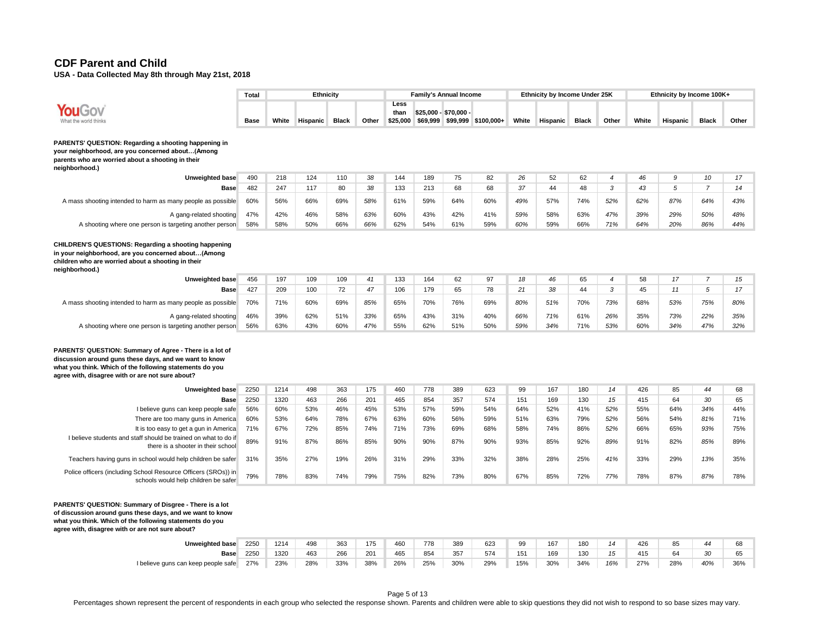**USA - Data Collected May 8th through May 21st, 2018** 

|                                                                                                                                                                                                                                   | <b>Total</b> |            | <b>Ethnicity</b> |              |            |                          |                     | <b>Family's Annual Income</b> |                              |            | Ethnicity by Income Under 25K |              |                |            | Ethnicity by Income 100K+ |                |            |
|-----------------------------------------------------------------------------------------------------------------------------------------------------------------------------------------------------------------------------------|--------------|------------|------------------|--------------|------------|--------------------------|---------------------|-------------------------------|------------------------------|------------|-------------------------------|--------------|----------------|------------|---------------------------|----------------|------------|
| What the world think:                                                                                                                                                                                                             | <b>Base</b>  | White      | <b>Hispanic</b>  | <b>Black</b> | Other      | Less<br>than<br>\$25.000 | \$25.000 - \$70.000 |                               | \$69,999 \$99,999 \$100,000+ | White      | <b>Hispanic</b>               | <b>Black</b> | Other          | White      | Hispanic                  | <b>Black</b>   | Other      |
| PARENTS' QUESTION: Regarding a shooting happening in<br>your neighborhood, are you concerned about(Among<br>parents who are worried about a shooting in their<br>neighborhood.)                                                   |              |            |                  |              |            |                          |                     |                               |                              |            |                               |              |                |            |                           |                |            |
| Unweighted base                                                                                                                                                                                                                   | 490          | 218        | 124              | 110          | 38         | 144                      | 189                 | 75                            | 82                           | 26         | 52                            | 62           | $\overline{4}$ | 46         | 9                         | 10             | 17         |
| <b>Base</b>                                                                                                                                                                                                                       | 482          | 247        | 117              | 80           | 38         | 133                      | 213                 | 68                            | 68                           | 37         | 44                            | 48           | 3              | 43         | 5                         | $\overline{7}$ | 14         |
| A mass shooting intended to harm as many people as possible                                                                                                                                                                       | 60%          | 56%        | 66%              | 69%          | 58%        | 61%                      | 59%                 | 64%                           | 60%                          | 49%        | 57%                           | 74%          | 52%            | 62%        | 87%                       | 64%            | 43%        |
| A gang-related shooting                                                                                                                                                                                                           | 47%          | 42%        | 46%              | 58%          | 63%        | 60%                      | 43%                 | 42%                           | 41%                          | 59%        | 58%                           | 63%          | 47%            | 39%        | 29%                       | 50%            | 48%        |
| A shooting where one person is targeting another person                                                                                                                                                                           | 58%          | 58%        | 50%              | 66%          | 66%        | 62%                      | 54%                 | 61%                           | 59%                          | 60%        | 59%                           | 66%          | 71%            | 64%        | 20%                       | 86%            | 44%        |
| CHILDREN'S QUESTIONS: Regarding a shooting happening<br>in your neighborhood, are you concerned about(Among<br>children who are worried about a shooting in their<br>neighborhood.)                                               |              |            |                  |              |            |                          |                     |                               |                              |            |                               |              |                |            |                           |                |            |
| Unweighted base                                                                                                                                                                                                                   | 456          | 197        | 109              | 109          | 41         | 133                      | 164                 | 62                            | 97                           | 18         | 46                            | 65           | $\overline{4}$ | 58         | 17                        | $\overline{7}$ | 15         |
| Base                                                                                                                                                                                                                              | 427          | 209        | 100              | 72           | 47         | 106                      | 179                 | 65                            | 78                           | 21         | 38                            | 44           | 3              | 45         | 11                        | 5              | 17         |
| A mass shooting intended to harm as many people as possible                                                                                                                                                                       | 70%          | 71%        | 60%              | 69%          | 85%        | 65%                      | 70%                 | 76%                           | 69%                          | 80%        | 51%                           | 70%          | 73%            | 68%        | 53%                       | 75%            | 80%        |
| A gang-related shooting                                                                                                                                                                                                           | 46%          | 39%        | 62%              | 51%          | 33%        | 65%                      | 43%                 | 31%                           | 40%                          | 66%        | 71%                           | 61%          | 26%            | 35%        | 73%                       | 22%            | 35%        |
| A shooting where one person is targeting another person                                                                                                                                                                           | 56%          | 63%        | 43%              | 60%          | 47%        | 55%                      | 62%                 | 51%                           | 50%                          | 59%        | 34%                           | 71%          | 53%            | 60%        | 34%                       | 47%            | 32%        |
| PARENTS' QUESTION: Summary of Agree - There is a lot of<br>discussion around guns these days, and we want to know<br>what you think. Which of the following statements do you<br>agree with, disagree with or are not sure about? |              |            |                  |              |            |                          |                     |                               |                              |            |                               |              |                |            |                           |                |            |
| Unweighted base                                                                                                                                                                                                                   | 2250         | 1214       | 498              | 363          | 175        | 460                      | 778                 | 389                           | 623                          | 99         | 167                           | 180          | 14             | 426        | 85                        | 44             | 68         |
| Base                                                                                                                                                                                                                              | 2250         | 1320       | 463              | 266          | 201        | 465                      | 854                 | 357                           | 574                          | 151        | 169                           | 130          | 15             | 415        | 64                        | 30             | 65         |
| I believe guns can keep people safe                                                                                                                                                                                               | 56%          | 60%        | 53%              | 46%          | 45%        | 53%                      | 57%                 | 59%                           | 54%                          | 64%        | 52%                           | 41%          | 52%            | 55%        | 64%                       | 34%            | 44%        |
| There are too many guns in America                                                                                                                                                                                                | 60%          | 53%<br>67% | 64%<br>72%       | 78%<br>85%   | 67%<br>74% | 63%<br>71%               | 60%<br>73%          | 56%<br>69%                    | 59%<br>68%                   | 51%<br>58% | 63%<br>74%                    | 79%<br>86%   | 52%<br>52%     | 56%<br>66% | 54%<br>65%                | 81%<br>93%     | 71%<br>75% |
|                                                                                                                                                                                                                                   |              |            |                  |              |            |                          |                     |                               |                              |            |                               |              |                |            |                           |                |            |
| It is too easy to get a gun in America<br>I believe students and staff should be trained on what to do if                                                                                                                         | 71%<br>89%   | 91%        | 87%              | 86%          | 85%        | 90%                      | 90%                 | 87%                           | 90%                          | 93%        | 85%                           | 92%          | 89%            | 91%        | 82%                       | 85%            | 89%        |
| there is a shooter in their school<br>Teachers having guns in school would help children be safer                                                                                                                                 | 31%          | 35%        | 27%              | 19%          | 26%        | 31%                      | 29%                 | 33%                           | 32%                          | 38%        | 28%                           | 25%          | 41%            | 33%        | 29%                       | 13%            | 35%        |

**agree with, disagree with or are not sure about?**

| <b>Unweighted base</b>              | 2250 | 1214 | 498 | 363 | 175 | 460 | 778 | 389 | 623 | 99  | 167 | 180 |     | 426 | 85  |     | 68  |
|-------------------------------------|------|------|-----|-----|-----|-----|-----|-----|-----|-----|-----|-----|-----|-----|-----|-----|-----|
| <b>Base</b>                         | 2250 | 1320 | 463 | 266 | 201 | 465 | 854 | 357 | 574 | 151 | 169 | 130 |     | 415 | 64  | 20  | 65  |
| I believe guns can keep people safe | 27%  | 23%  | 28% | 33% | 38% | 26% | 25% | 30% | 29% | 15% | 30% | 34% | 16% | 27% | 28% | 40% | 36% |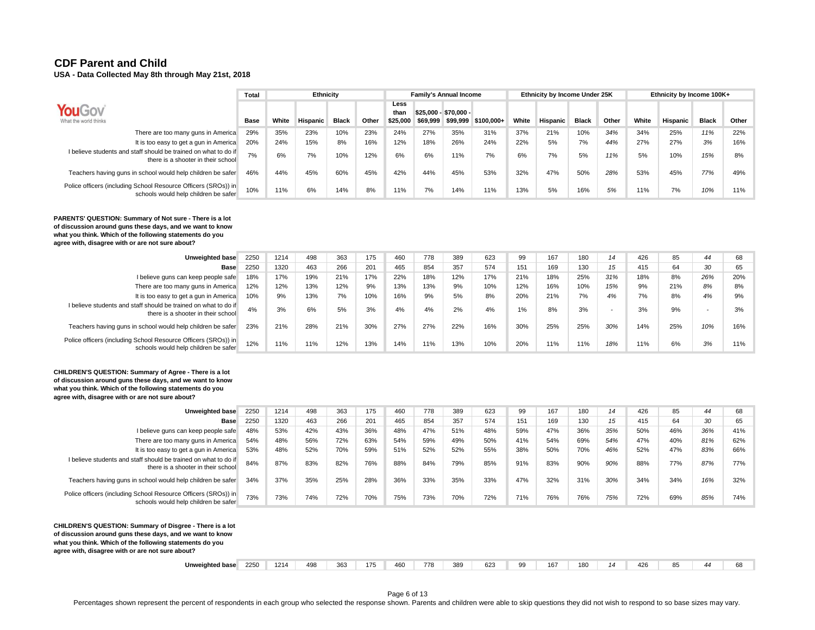**USA - Data Collected May 8th through May 21st, 2018** 

|                                                                                                        | <b>Total</b> |       | Ethnicity       |              |       |                          |          | <b>Family's Annual Income</b>     |            |       | Ethnicity by Income Under 25K |              |       |       | Ethnicity by Income 100K+ |              |       |
|--------------------------------------------------------------------------------------------------------|--------------|-------|-----------------|--------------|-------|--------------------------|----------|-----------------------------------|------------|-------|-------------------------------|--------------|-------|-------|---------------------------|--------------|-------|
| <b>YouGov</b><br>What the world thinks                                                                 | Base         | White | <b>Hispanic</b> | <b>Black</b> | Other | Less<br>thar<br>\$25,000 | \$69.999 | \$25.000 - \$70.000 -<br>\$99.999 | \$100.000+ | White | Hispanic                      | <b>Black</b> | Other | White | Hispanic                  | <b>Black</b> | Other |
| There are too many guns in America                                                                     | 29%          | 35%   | 23%             | 10%          | 23%   | 24%                      | 27%      | 35%                               | 31%        | 37%   | 21%                           | 10%          | 34%   | 34%   | 25%                       | 11%          | 22%   |
| It is too easy to get a gun in America                                                                 | 20%          | 24%   | 15%             | 8%           | 16%   | 12%                      | 18%      | 26%                               | 24%        | 22%   | 5%                            | 7%           | 44%   | 27%   | 27%                       | 3%           | 16%   |
| I believe students and staff should be trained on what to do if<br>there is a shooter in their school  | 7%           | 6%    | 7%              | 10%          | 12%   | 6%                       | 6%       | 11%                               | 7%         | 6%    | 7%                            | 5%           | 11%   | 5%    | 10%                       | 15%          | 8%    |
| Teachers having guns in school would help children be safer                                            | 46%          | 44%   | 45%             | 60%          | 45%   | 42%                      | 44%      | 45%                               | 53%        | 32%   | 47%                           | 50%          | 28%   | 53%   | 45%                       | 77%          | 49%   |
| Police officers (including School Resource Officers (SROs)) in<br>schools would help children be safer | 10%          | 11%   | 6%              | 14%          | 8%    | 11%                      | 7%       | 14%                               | 11%        | 13%   | 5%                            | 16%          | 5%    | 11%   | 7%                        | 10%          | 11%   |

**PARENTS' QUESTION: Summary of Not sure - There is a lot of discussion around guns these days, and we want to know what you think. Which of the following statements do you agree with, disagree with or are not sure about?**

| Unweighted base                                                                                        | 2250 | 1214 | 498 | 363 | 175 | 460 | 778 | 389 | 623 | 99    | 167 | 180 | 14     | 426 | 85  | 44                       | 68  |
|--------------------------------------------------------------------------------------------------------|------|------|-----|-----|-----|-----|-----|-----|-----|-------|-----|-----|--------|-----|-----|--------------------------|-----|
| <b>Base</b>                                                                                            | 2250 | 1320 | 463 | 266 | 201 | 465 | 854 | 357 | 574 | 151   | 169 | 130 | 15     | 415 | 64  | $\Omega$                 | 65  |
| I believe guns can keep people safe                                                                    | 18%  | 17%  | 19% | 21% | 17% | 22% | 18% | 12% | 17% | 21%   | 18% | 25% | 31%    | 18% | 8%  | 26%                      | 20% |
| There are too many guns in America                                                                     | 12%  | 12%  | 13% | 12% | 9%  | 13% | 13% | 9%  | 10% | 12%   | 16% | 10% | 15%    | 9%  | 21% | 8%                       | 8%  |
| It is too easy to get a gun in America                                                                 | 10%  | 9%   | 13% | 7%  | 10% | 16% | 9%  | 5%  | 8%  | 20%   | 21% | 7%  | 4%     | 7%  | 8%  | 4%                       | 9%  |
| I believe students and staff should be trained on what to do if<br>there is a shooter in their school  | 4%   | 3%   | 6%  | 5%  | 3%  | 4%  | 4%  | 2%  | 4%  | $1\%$ | 8%  | 3%  | $\sim$ | 3%  | 9%  | $\overline{\phantom{0}}$ | 3%  |
| Teachers having guns in school would help children be safer                                            | 23%  | 21%  | 28% | 21% | 30% | 27% | 27% | 22% | 16% | 30%   | 25% | 25% | 30%    | 14% | 25% | 10%                      | 16% |
| Police officers (including School Resource Officers (SROs)) in<br>schools would help children be safer | 12%  | 11%  | 11% | 12% | 13% | 14% | 11% | 13% | 10% | 20%   | 11% | 11% | 18%    | 11% | 6%  | 3%                       | 11% |

**CHILDREN'S QUESTION: Summary of Agree - There is a lot of discussion around guns these days, and we want to know what you think. Which of the following statements do you agree with, disagree with or are not sure about?**

| Unweighted base                                                                                        | 2250 | 1214 | 498 | 363 | 175 | 460 | 778 | 389 | 623 | 99  | 167 | 180 | 14  | 426 | 85  | 44  | 68  |
|--------------------------------------------------------------------------------------------------------|------|------|-----|-----|-----|-----|-----|-----|-----|-----|-----|-----|-----|-----|-----|-----|-----|
| <b>Base</b>                                                                                            | 2250 | 1320 | 463 | 266 | 201 | 465 | 854 | 357 | 574 | 151 | 169 | 130 | 15  | 415 | 64  | 30  | 65  |
| I believe guns can keep people safe                                                                    | 48%  | 53%  | 42% | 43% | 36% | 48% | 47% | 51% | 48% | 59% | 47% | 36% | 35% | 50% | 46% | 36% | 41% |
| There are too many guns in America                                                                     | 54%  | 48%  | 56% | 72% | 63% | 54% | 59% | 49% | 50% | 41% | 54% | 69% | 54% | 47% | 40% | 81% | 62% |
| It is too easy to get a gun in America                                                                 | 53%  | 48%  | 52% | 70% | 59% | 51% | 52% | 52% | 55% | 38% | 50% | 70% | 46% | 52% | 47% | 83% | 66% |
| I believe students and staff should be trained on what to do if<br>there is a shooter in their school  | 84%  | 87%  | 83% | 82% | 76% | 88% | 84% | 79% | 85% | 91% | 83% | 90% | 90% | 88% | 77% | 87% | 77% |
| Teachers having guns in school would help children be safer                                            | 34%  | 37%  | 35% | 25% | 28% | 36% | 33% | 35% | 33% | 47% | 32% | 31% | 30% | 34% | 34% | 16% | 32% |
| Police officers (including School Resource Officers (SROs)) in<br>schools would help children be safer | 73%  | 73%  | 74% | 72% | 70% | 75% | 73% | 70% | 72% | 71% | 76% | 76% | 75% | 72% | 69% | 85% | 74% |

**CHILDREN'S QUESTION: Summary of Disgree - There is a lot of discussion around guns these days, and we want to know what you think. Which of the following statements do you agree with, disagree with or are not sure about?**

| Unweighted base | 2250 | 1214 | 498 | 363 | 175 | 460 <sup>-</sup> | 778. | 389 | 0.00<br>bZ. | nn<br>7.7 | 167 | 180 | $\cdots$<br>42F | 0E<br>$\cdots$ | <br>ິ<br>n |
|-----------------|------|------|-----|-----|-----|------------------|------|-----|-------------|-----------|-----|-----|-----------------|----------------|------------|

Page 6 of 13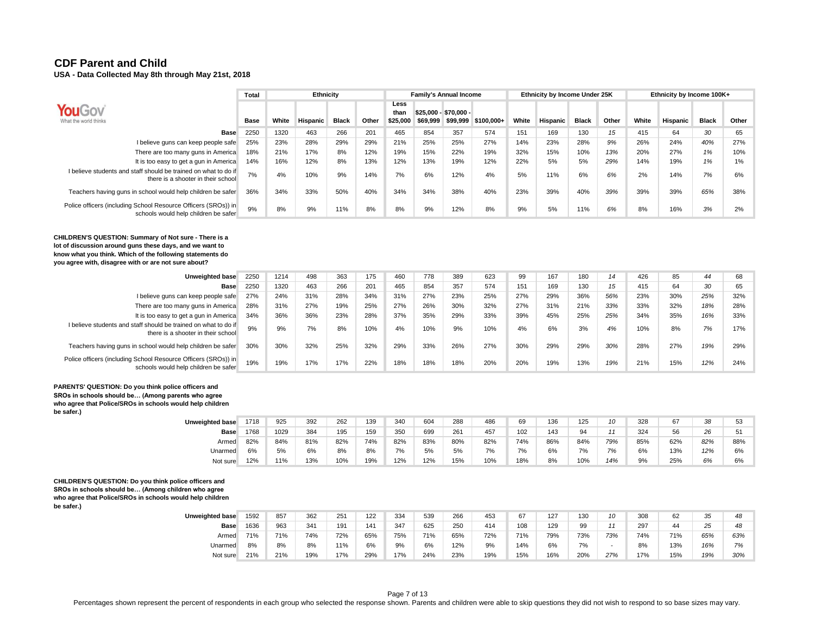|                                                                                                        | Total       |       | Ethnicity       |              |       |                          |          | <b>Family's Annual Income</b>     |            |       | Ethnicity by Income Under 25K |              |       |       | Ethnicity by Income 100K+ |              |       |
|--------------------------------------------------------------------------------------------------------|-------------|-------|-----------------|--------------|-------|--------------------------|----------|-----------------------------------|------------|-------|-------------------------------|--------------|-------|-------|---------------------------|--------------|-------|
| <b>YouGov</b><br>What the world thinks                                                                 | <b>Base</b> | White | <b>Hispanic</b> | <b>Black</b> | Other | Less<br>than<br>\$25,000 | \$69.999 | $$25.000 - $70.000 -$<br>\$99.999 | \$100.000+ | White | Hispanic                      | <b>Black</b> | Other | White | <b>Hispanic</b>           | <b>Black</b> | Other |
| <b>Base</b>                                                                                            | 2250        | 1320  | 463             | 266          | 201   | 465                      | 854      | 357                               | 574        | 151   | 169                           | 130          | 15    | 415   | 64                        | 30           | 65    |
| I believe guns can keep people safe                                                                    | 25%         | 23%   | 28%             | 29%          | 29%   | 21%                      | 25%      | 25%                               | 27%        | 14%   | 23%                           | 28%          | 9%    | 26%   | 24%                       | 40%          | 27%   |
| There are too many guns in America                                                                     | 18%         | 21%   | 17%             | 8%           | 12%   | 19%                      | 15%      | 22%                               | 19%        | 32%   | 15%                           | 10%          | 13%   | 20%   | 27%                       | 1%           | 10%   |
| It is too easy to get a gun in America                                                                 | 14%         | 16%   | 12%             | 8%           | 13%   | 12%                      | 13%      | 19%                               | 12%        | 22%   | 5%                            | 5%           | 29%   | 14%   | 19%                       | 1%           | 1%    |
| I believe students and staff should be trained on what to do if<br>there is a shooter in their school  | 7%          | 4%    | 10%             | 9%           | 14%   | 7%                       | 6%       | 12%                               | 4%         | 5%    | 11%                           | 6%           | 6%    | 2%    | 14%                       | 7%           | 6%    |
| Teachers having guns in school would help children be safer                                            | 36%         | 34%   | 33%             | 50%          | 40%   | 34%                      | 34%      | 38%                               | 40%        | 23%   | 39%                           | 40%          | 39%   | 39%   | 39%                       | 65%          | 38%   |
| Police officers (including School Resource Officers (SROs)) in<br>schools would help children be safer | 9%          | 8%    | 9%              | 11%          | 8%    | 8%                       | 9%       | 12%                               | 8%         | 9%    | 5%                            | 11%          | 6%    | 8%    | 16%                       | 3%           | 2%    |

**CHILDREN'S QUESTION: Summary of Not sure - There is a lot of discussion around guns these days, and we want to know what you think. Which of the following statements do you agree with, disagree with or are not sure about?**

| Unweighted base                                                                                        | 2250 | 1214 | 498 | 363 | 175 | 460 | 778 | 389 | 623 | 99  | 167 | 180 | 14  | 426 | 85  | 44  | 68  |
|--------------------------------------------------------------------------------------------------------|------|------|-----|-----|-----|-----|-----|-----|-----|-----|-----|-----|-----|-----|-----|-----|-----|
| <b>Base</b>                                                                                            | 2250 | 1320 | 463 | 266 | 201 | 465 | 854 | 357 | 574 | 151 | 169 | 130 | 15  | 415 | 64  | 30  | 65  |
| I believe guns can keep people safe                                                                    | 27%  | 24%  | 31% | 28% | 34% | 31% | 27% | 23% | 25% | 27% | 29% | 36% | 56% | 23% | 30% | 25% | 32% |
| There are too many guns in America                                                                     | 28%  | 31%  | 27% | 19% | 25% | 27% | 26% | 30% | 32% | 27% | 31% | 21% | 33% | 33% | 32% | 18% | 28% |
| It is too easy to get a gun in America                                                                 | 34%  | 36%  | 36% | 23% | 28% | 37% | 35% | 29% | 33% | 39% | 45% | 25% | 25% | 34% | 35% | 16% | 33% |
| I believe students and staff should be trained on what to do if<br>there is a shooter in their school  | 9%   | 9%   | 7%  | 8%  | 10% | 4%  | 10% | 9%  | 10% | 4%  | 6%  | 3%  | 4%  | 10% | 8%  | 7%  | 17% |
| Teachers having guns in school would help children be safer                                            | 30%  | 30%  | 32% | 25% | 32% | 29% | 33% | 26% | 27% | 30% | 29% | 29% | 30% | 28% | 27% | 19% | 29% |
| Police officers (including School Resource Officers (SROs)) in<br>schools would help children be safer | 19%  | 19%  | 17% | 17% | 22% | 18% | 18% | 18% | 20% | 20% | 19% | 13% | 19% | 21% | 15% | 12% | 24% |
|                                                                                                        |      |      |     |     |     |     |     |     |     |     |     |     |     |     |     |     |     |

#### **PARENTS' QUESTION: Do you think police officers and**

**SROs in schools should be… (Among parents who agree who agree that Police/SROs in schools would help children be safer.)**

**Unweighted base** 1718 925 392 262 139 340 604 288 486 69 136 125 *10* 328 67 *38* 53 **Base** 1768 1029 384 195 159 350 699 261 457 102 143 94 *11* 324 56 *26* 51 Armed 82% 84% 81% 82% 74% 82% 83% 80% 82% 74% 86% 84% *79%* 85% 62% *82%* 88% Unarmed 6% 5% 6% 8% 8% 7% 5% 5% 7% 7% 6% 7% *7%* 6% 13% *12%* 6% Not sure 12% 11% 13% 10% 19% 12% 12% 15% 10% 18% 8% 10% *14%* 9% 25% *6%* 6%

**CHILDREN'S QUESTION: Do you think police officers and SROs in schools should be… (Among children who agree who agree that Police/SROs in schools would help children be safer.)**

| Unweighted base | 1592 | 857 | 362 | 251 | 122 | 334 | 539 | 266 | 453 | 67  | 127 | 130 | 10  | 308 | 62  | 35  | 48  |
|-----------------|------|-----|-----|-----|-----|-----|-----|-----|-----|-----|-----|-----|-----|-----|-----|-----|-----|
| <b>Base</b>     | 1636 | 963 | 341 | 191 | 141 | 347 | 625 | 250 | 414 | 108 | 129 | 99  |     | 297 | 44  | 25  | 48  |
| Armed           | 71%  | 71% | 74% | 72% | 65% | 75% | 71% | 65% | 72% | 71% | 79% | 73% | 73% | 74% | 71% | 65% | 63% |
| Unarmed         | 8%   | 8%  | 8%  | 11% | 6%  | 9%  | 6%  | 12% | 9%  | 14% | 6%  | 7%  |     | 8%  | 13% | 16% | 7%  |
| Not sure        | 21%  | 21% | 19% | 17% | 29% | 17% | 24% | 23% | 19% | 15% | 16% | 20% | 27% | 17% | 15% | 19% | 30% |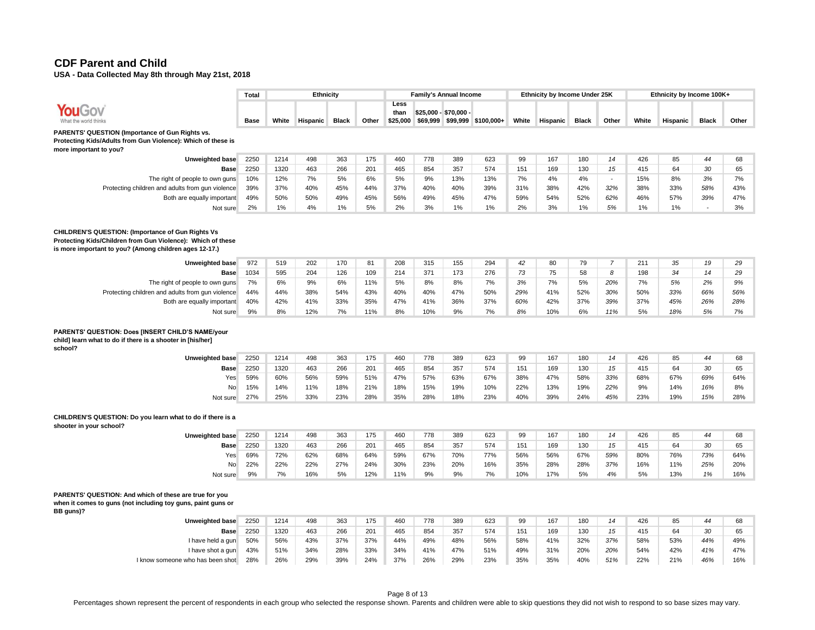**USA - Data Collected May 8th through May 21st, 2018** 

|                                                                                                                                                                                                                                                                                                                                   | Total                           |                                | Ethnicity                      |                                |                                |                                |                                | <b>Family's Annual Income</b>  |                                |                              | Ethnicity by Income Under 25K |                              |                                          |                                | Ethnicity by Income 100K+    |                              |                              |
|-----------------------------------------------------------------------------------------------------------------------------------------------------------------------------------------------------------------------------------------------------------------------------------------------------------------------------------|---------------------------------|--------------------------------|--------------------------------|--------------------------------|--------------------------------|--------------------------------|--------------------------------|--------------------------------|--------------------------------|------------------------------|-------------------------------|------------------------------|------------------------------------------|--------------------------------|------------------------------|------------------------------|------------------------------|
| <b>YouGov</b><br>What the world thinks                                                                                                                                                                                                                                                                                            | Base                            | White                          | Hispanic                       | <b>Black</b>                   | Other                          | Less<br>than<br>\$25.000       |                                | \$25,000 - \$70,000 -          | \$69,999 \$99,999 \$100,000+   | White                        | Hispanic                      | <b>Black</b>                 | Other                                    | White                          | Hispanic                     | <b>Black</b>                 | Other                        |
| PARENTS' QUESTION (Importance of Gun Rights vs.<br>Protecting Kids/Adults from Gun Violence): Which of these is<br>more important to you?                                                                                                                                                                                         |                                 |                                |                                |                                |                                |                                |                                |                                |                                |                              |                               |                              |                                          |                                |                              |                              |                              |
| Unweighted base                                                                                                                                                                                                                                                                                                                   | 2250                            | 1214                           | 498                            | 363                            | 175                            | 460                            | 778                            | 389                            | 623                            | 99                           | 167                           | 180                          | 14                                       | 426                            | 85                           | 44                           | 68                           |
| Base                                                                                                                                                                                                                                                                                                                              | 2250                            | 1320                           | 463                            | 266                            | 201                            | 465                            | 854                            | 357                            | 574                            | 151                          | 169                           | 130                          | 15                                       | 415                            | 64                           | 30                           | 65                           |
| The right of people to own guns                                                                                                                                                                                                                                                                                                   | 10%                             | 12%                            | 7%                             | 5%                             | 6%                             | 5%                             | 9%                             | 13%                            | 13%                            | 7%                           | 4%                            | 4%                           | $\overline{\phantom{a}}$                 | 15%                            | 8%                           | 3%                           | 7%                           |
| Protecting children and adults from gun violence                                                                                                                                                                                                                                                                                  | 39%                             | 37%                            | 40%                            | 45%                            | 44%                            | 37%                            | 40%                            | 40%                            | 39%                            | 31%                          | 38%                           | 42%                          | 32%                                      | 38%                            | 33%                          | 58%                          | 43%                          |
| Both are equally important                                                                                                                                                                                                                                                                                                        | 49%                             | 50%                            | 50%                            | 49%                            | 45%                            | 56%                            | 49%                            | 45%                            | 47%                            | 59%                          | 54%                           | 52%                          | 62%                                      | 46%                            | 57%                          | 39%                          | 47%                          |
| Not sure                                                                                                                                                                                                                                                                                                                          | 2%                              | 1%                             | 4%                             | 1%                             | 5%                             | 2%                             | 3%                             | 1%                             | 1%                             | 2%                           | 3%                            | 1%                           | 5%                                       | 1%                             | 1%                           |                              | 3%                           |
| CHILDREN'S QUESTION: (Importance of Gun Rights Vs<br>Protecting Kids/Children from Gun Violence): Which of these<br>is more important to you? (Among children ages 12-17.)<br><b>Unweighted base</b><br>Base<br>The right of people to own guns<br>Protecting children and adults from gun violence<br>Both are equally important | 972<br>1034<br>7%<br>44%<br>40% | 519<br>595<br>6%<br>44%<br>42% | 202<br>204<br>9%<br>38%<br>41% | 170<br>126<br>6%<br>54%<br>33% | 81<br>109<br>11%<br>43%<br>35% | 208<br>214<br>5%<br>40%<br>47% | 315<br>371<br>8%<br>40%<br>41% | 155<br>173<br>8%<br>47%<br>36% | 294<br>276<br>7%<br>50%<br>37% | 42<br>73<br>3%<br>29%<br>60% | 80<br>75<br>7%<br>41%<br>42%  | 79<br>58<br>5%<br>52%<br>37% | $\overline{7}$<br>8<br>20%<br>30%<br>39% | 211<br>198<br>7%<br>50%<br>37% | 35<br>34<br>5%<br>33%<br>45% | 19<br>14<br>2%<br>66%<br>26% | 29<br>29<br>9%<br>56%<br>28% |
| Not sure                                                                                                                                                                                                                                                                                                                          | 9%                              | 8%                             | 12%                            | 7%                             | 11%                            | 8%                             | 10%                            | 9%                             | 7%                             | 8%                           | 10%                           | 6%                           | 11%                                      | 5%                             | 18%                          | 5%                           | 7%                           |
| PARENTS' QUESTION: Does [INSERT CHILD'S NAME/your<br>child] learn what to do if there is a shooter in [his/her]<br>school?<br><b>Unweighted base</b><br><b>Base</b><br>Yes                                                                                                                                                        | 2250<br>2250<br>59%             | 1214<br>1320<br>60%            | 498<br>463<br>56%              | 363<br>266<br>59%              | 175<br>201<br>51%              | 460<br>465<br>47%              | 778<br>854<br>57%              | 389<br>357<br>63%              | 623<br>574<br>67%              | 99<br>151<br>38%             | 167<br>169<br>47%             | 180<br>130<br>58%            | 14<br>15<br>33%                          | 426<br>415<br>68%              | 85<br>64<br>67%              | 44<br>30<br>69%              | 68<br>65<br>64%              |
| <b>No</b>                                                                                                                                                                                                                                                                                                                         | 15%                             | 14%                            | 11%                            | 18%                            | 21%                            | 18%                            | 15%                            | 19%                            | 10%                            | 22%                          | 13%                           | 19%                          | 22%                                      | 9%                             | 14%                          | 16%                          | 8%                           |
| Not sure                                                                                                                                                                                                                                                                                                                          | 27%                             | 25%                            | 33%                            | 23%                            | 28%                            | 35%                            | 28%                            | 18%                            | 23%                            | 40%                          | 39%                           | 24%                          | 45%                                      | 23%                            | 19%                          | 15%                          | 28%                          |
| CHILDREN'S QUESTION: Do you learn what to do if there is a<br>shooter in your school?<br>Unweighted base                                                                                                                                                                                                                          | 2250                            | 1214                           | 498                            | 363                            | 175                            | 460                            | 778                            | 389                            | 623                            | 99                           | 167                           | 180                          | 14                                       | 426                            | 85                           | 44                           | 68                           |

| Jnweighted base | 2250 | 1214 | 495 | 363 | 175 | 460 | 78  | 389 | 623 | 99  | 167 | 180 | 14  | 426 | 85  | 44  | 68  |
|-----------------|------|------|-----|-----|-----|-----|-----|-----|-----|-----|-----|-----|-----|-----|-----|-----|-----|
| <b>Base</b>     | 2250 | 1320 | 463 | 266 | 201 | 465 | 854 | 357 | 574 | 151 | 169 | 130 | 15  | 415 | 64  | 30  | 65  |
| Yes             | 69%  | 72%  | 62% | 68% | 64% | 59% | 67% | 70% | 77% | 56% | 56% | 67% | 59% | 80% | 76% | 73% | 64% |
| <b>No</b>       | 22%  | 22%  | 22% | 27% | 24% | 30% | 23% | 20% | 16% | 35% | 28% | 28% | 37% | 16% | 11% | 25% | 20% |
| Not sure        | 9%   | 7%   | 16% | 5%  | 12% | 11% | 9%  | 9%  | 7%  | 10% | 17% | 5%  | 4%  | 5%  | 13% | 1%  | 16% |
|                 |      |      |     |     |     |     |     |     |     |     |     |     |     |     |     |     |     |

## **PARENTS' QUESTION: And which of these are true for you**

**when it comes to guns (not including toy guns, paint guns or BB guns)?**

| <b>Unweighted base</b>           | 2250 | 1214 | 498 | 363 | 175 | 460 | 778 | 389 | 623 | 99  | 167 | 180 | 14  | 426 | 85  | 44  | 68  |
|----------------------------------|------|------|-----|-----|-----|-----|-----|-----|-----|-----|-----|-----|-----|-----|-----|-----|-----|
| <b>Base</b>                      | 2250 | 1320 | 463 | 266 | 201 | 465 | 854 | 357 | 574 | 151 | 169 | 130 | 15  | 415 | 64  | 30  | 65  |
| I have held a gun                | 50%  | 56%  | 43% | 37% | 37% | 44% | 49% | 48% | 56% | 58% | 41% | 32% | 37% | 58% | 53% | 44% | 49% |
| I have shot a gun                | 43%  | 51%  | 34% | 28% | 33% | 34% | 41% | 47% | 51% | 49% | 31% | 20% | 20% | 54% | 42% | 41% | 47% |
| I know someone who has been shot | 28%  | 26%  | 29% | 39% | 24% | 37% | 26% | 29% | 23% | 35% | 35% | 40% | 51% | 22% | 21% | 46% | 16% |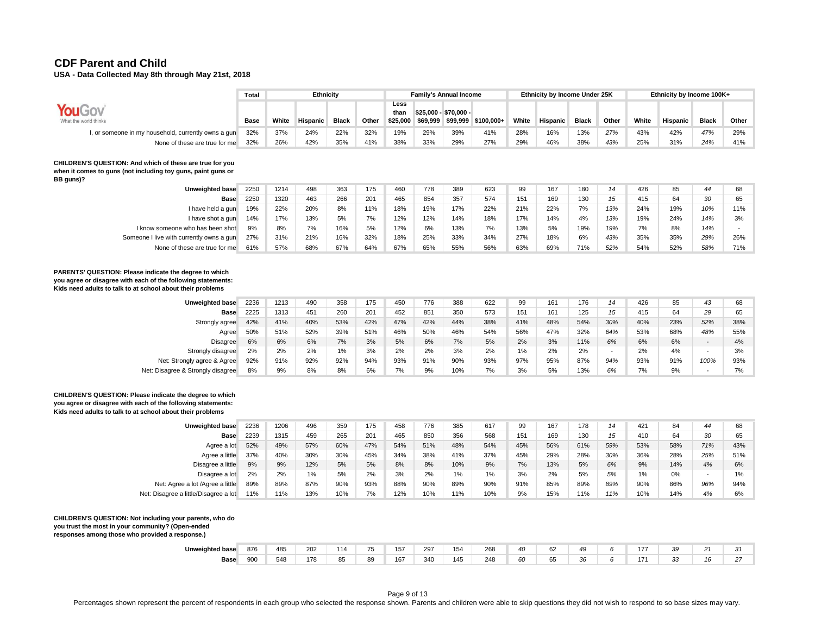**USA - Data Collected May 8th through May 21st, 2018** 

|                                                     | Total       |       | Ethnicity |              |       |                          | <b>Family's Annual Income</b>     |     |                     |       | Ethnicity by Income Under 25K |              |       |       | Ethnicity by Income 100K+ |              |       |
|-----------------------------------------------------|-------------|-------|-----------|--------------|-------|--------------------------|-----------------------------------|-----|---------------------|-------|-------------------------------|--------------|-------|-------|---------------------------|--------------|-------|
| <b>YouGo</b><br>What the world thinks               | <b>Base</b> | White | Hispanic  | <b>Black</b> | Other | Less<br>than<br>\$25.000 | \$25,000 - \$70,000 -<br>\$69,999 |     | \$99,999 \$100,000+ | White | Hispanic <b>D</b>             | <b>Black</b> | Other | White | Hispanic                  | <b>Black</b> | Other |
| I, or someone in my household, currently owns a gun | 32%         | 37%   | 24%       | 22%          | 32%   | 19%                      | 29%                               | 39% | 41%                 | 28%   | 16%                           | 13%          | 27%   | 43%   | 42%                       | 47%          | 29%   |
| None of these are true for me                       | 32%         | 26%   | 42%       | 35%          | 41%   | 38%                      | 33%                               | 29% | 27%                 | 29%   | 46%                           | 38%          | 43%   | 25%   | 31%                       | 24%          | 41%   |

#### **CHILDREN'S QUESTION: And which of these are true for you when it comes to guns (not including toy guns, paint guns or**

**BB guns)?**

| Unweighted base                          | 2250 | 1214 | 498 | 363 | 175 | 460 | 778 | 389 | 623 | 99  | 167 | 180 | 14  | 426 | 85  | 44  | 68  |
|------------------------------------------|------|------|-----|-----|-----|-----|-----|-----|-----|-----|-----|-----|-----|-----|-----|-----|-----|
| <b>Base</b>                              | 2250 | 1320 | 463 | 266 | 201 | 465 | 854 | 357 | 574 | 151 | 169 | 130 | 15  | 415 | 64  | 30  | 65  |
| I have held a gun                        | 19%  | 22%  | 20% | 8%  | 11% | 18% | 19% | 17% | 22% | 21% | 22% | 7%  | 13% | 24% | 19% | 10% | 11% |
| I have shot a gun                        | 14%  | 17%  | 13% | 5%  | 7%  | 12% | 12% | 14% | 18% | 17% | 14% | 4%  | 13% | 19% | 24% | 14% | 3%  |
| I know someone who has been shot         | 9%   | 8%   | 7%  | 16% | 5%  | 12% | 6%  | 13% | 7%  | 13% | 5%  | 19% | 19% | 7%  | 8%  | 14% |     |
| Someone I live with currently owns a gun | 27%  | 31%  | 21% | 16% | 32% | 18% | 25% | 33% | 34% | 27% | 18% | 6%  | 43% | 35% | 35% | 29% | 26% |
| None of these are true for me            | 61%  | 57%  | 68% | 67% | 64% | 67% | 65% | 55% | 56% | 63% | 69% | 71% | 52% | 54% | 52% | 58% | 71% |

#### **PARENTS' QUESTION: Please indicate the degree to which you agree or disagree with each of the following statements: Kids need adults to talk to at school about their problems**

| Unweighted base                   | 2236 | 1213 | 490 | 358 | 175 | 450 | 776 | 388 | 622 | 99    | 161 | 176 | 14       | 426 | 85  | 43                       | 68  |
|-----------------------------------|------|------|-----|-----|-----|-----|-----|-----|-----|-------|-----|-----|----------|-----|-----|--------------------------|-----|
| Base                              | 2225 | 1313 | 451 | 260 | 201 | 452 | 851 | 350 | 573 | 151   | 161 | 125 | 15       | 415 | 64  | 29                       | 65  |
| Strongly agree                    | 42%  | 41%  | 40% | 53% | 42% | 47% | 42% | 44% | 38% | 41%   | 48% | 54% | 30%      | 40% | 23% | 52%                      | 38% |
| Agree                             | 50%  | 51%  | 52% | 39% | 51% | 46% | 50% | 46% | 54% | 56%   | 47% | 32% | 64%      | 53% | 68% | 48%                      | 55% |
| Disagree                          | 6%   | 6%   | 6%  | 7%  | 3%  | 5%  | 6%  | 7%  | 5%  | 2%    | 3%  | 11% | 6%       | 6%  | 6%  | $\overline{\phantom{0}}$ | 4%  |
| Strongly disagree                 | 2%   | 2%   | 2%  | 1%  | 3%  | 2%  | 2%  | 3%  | 2%  | $1\%$ | 2%  | 2%  | <b>.</b> | 2%  | 4%  | $\overline{\phantom{0}}$ | 3%  |
| Net: Strongly agree & Agree       | 92%  | 91%  | 92% | 92% | 94% | 93% | 91% | 90% | 93% | 97%   | 95% | 87% | 94%      | 93% | 91% | 100%                     | 93% |
| Net: Disagree & Strongly disagree | 8%   | 9%   | 8%  | 8%  | 6%  | 7%  | 9%  | 10% | 7%  | 3%    | 5%  | 13% | 6%       | 7%  | 9%  | $\overline{\phantom{a}}$ | 7%  |

#### **CHILDREN'S QUESTION: Please indicate the degree to which you agree or disagree with each of the following statements: Kids need adults to talk to at school about their problems**

| Unweighted base                       | 2236 | 1206 | 496 | 359 | 175 | 458 | 776 | 385   | 617 | 99  | 167 | 178 | 14  | 421 | 84  | 44  | 68    |
|---------------------------------------|------|------|-----|-----|-----|-----|-----|-------|-----|-----|-----|-----|-----|-----|-----|-----|-------|
| <b>Base</b>                           | 2239 | 1315 | 459 | 265 | 201 | 465 | 850 | 356   | 568 | 151 | 169 | 130 | 15  | 410 | 64  | 30  | 65    |
| Agree a lot                           | 52%  | 49%  | 57% | 60% | 47% | 54% | 51% | 48%   | 54% | 45% | 56% | 61% | 59% | 53% | 58% | 71% | 43%   |
| Agree a little                        | 37%  | 40%  | 30% | 30% | 45% | 34% | 38% | 41%   | 37% | 45% | 29% | 28% | 30% | 36% | 28% | 25% | 51%   |
| Disagree a little                     | 9%   | 9%   | 12% | 5%  | 5%  | 8%  | 8%  | 10%   | 9%  | 7%  | 13% | 5%  | 6%  | 9%  | 14% | 4%  | 6%    |
| Disagree a lot                        | 2%   | 2%   | 1%  | 5%  | 2%  | 3%  | 2%  | $1\%$ | 1%  | 3%  | 2%  | 5%  | 5%  | 1%  | 0%  |     | $1\%$ |
| Net: Agree a lot /Agree a little      | 89%  | 89%  | 87% | 90% | 93% | 88% | 90% | 89%   | 90% | 91% | 85% | 89% | 89% | 90% | 86% | 96% | 94%   |
| Net: Disagree a little/Disagree a lot | 11%  | 11%  | 13% | 10% | 7%  | 12% | 10% | 11%   | 10% | 9%  | 15% | 11% | 11% | 10% | 14% | 4%  | 6%    |

#### **CHILDREN'S QUESTION: Not including your parents, who do**

**you trust the most in your community? (Open-ended responses among those who provided a response.)**

| Unweighted base | 876 | 485 | 202 |    |    | .<br><b>16</b><br>$\overline{\phantom{a}}$ | 297 | $\overline{\phantom{0}}$<br>154 | 268 | $\Lambda$ <sup>C</sup><br>40. | 62 | 49                   | $\overline{a}$<br>. . | 3 <sup>c</sup> | $\sim$ | $\cdot$ |
|-----------------|-----|-----|-----|----|----|--------------------------------------------|-----|---------------------------------|-----|-------------------------------|----|----------------------|-----------------------|----------------|--------|---------|
| Base            | 900 | 548 | 178 | 85 | 89 | 167                                        | 340 | 145                             | 248 | 60                            | 65 | $\sim$<br>5٢.<br>. . | $\sim$<br>.           | $\sim$<br>JJ   | $\sim$ | $\sim$  |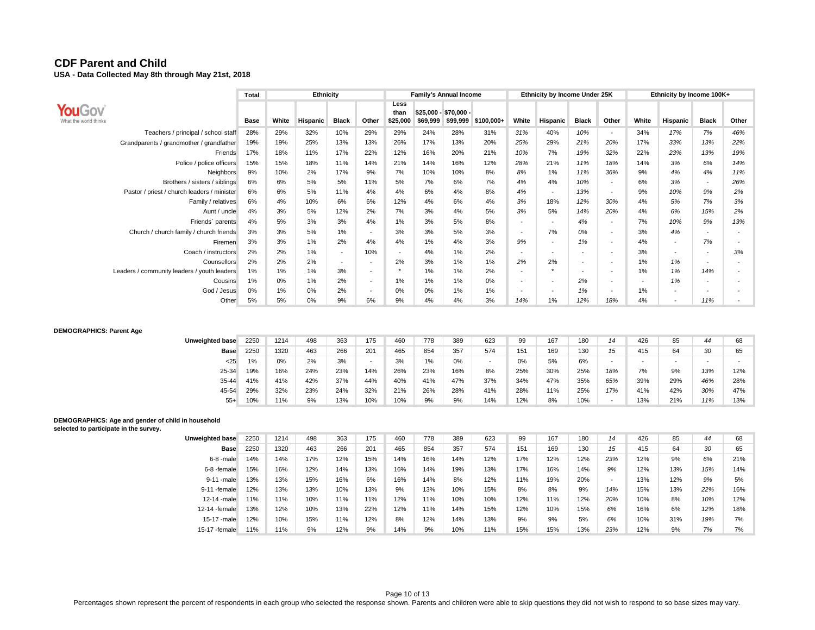|                                             | Total |       | Ethnicity       |                          |                          |                          |          | <b>Family's Annual Income</b>     |            |                          | Ethnicity by Income Under 25K |                          |                          |                          | Ethnicity by Income 100K+ |                          |                          |
|---------------------------------------------|-------|-------|-----------------|--------------------------|--------------------------|--------------------------|----------|-----------------------------------|------------|--------------------------|-------------------------------|--------------------------|--------------------------|--------------------------|---------------------------|--------------------------|--------------------------|
| <b>YOUGOV</b><br>What the world thinks      | Base  | White | <b>Hispanic</b> | <b>Black</b>             | Other                    | Less<br>than<br>\$25,000 | \$69,999 | $$25,000 - $70,000 -$<br>\$99,999 | \$100,000+ | White                    | Hispanic                      | <b>Black</b>             | Other                    | White                    | Hispanic                  | <b>Black</b>             | Other                    |
| Teachers / principal / school staff         | 28%   | 29%   | 32%             | 10%                      | 29%                      | 29%                      | 24%      | 28%                               | 31%        | 31%                      | 40%                           | 10%                      |                          | 34%                      | 17%                       | 7%                       | 46%                      |
| Grandparents / grandmother / grandfather    | 19%   | 19%   | 25%             | 13%                      | 13%                      | 26%                      | 17%      | 13%                               | 20%        | 25%                      | 29%                           | 21%                      | 20%                      | 17%                      | 33%                       | 13%                      | 22%                      |
| Friends                                     | 17%   | 18%   | 11%             | 17%                      | 22%                      | 12%                      | 16%      | 20%                               | 21%        | 10%                      | 7%                            | 19%                      | 32%                      | 22%                      | 23%                       | 13%                      | 19%                      |
| Police / police officers                    | 15%   | 15%   | 18%             | 11%                      | 14%                      | 21%                      | 14%      | 16%                               | 12%        | 28%                      | 21%                           | 11%                      | 18%                      | 14%                      | 3%                        | 6%                       | 14%                      |
| Neighbors                                   | 9%    | 10%   | 2%              | 17%                      | 9%                       | 7%                       | 10%      | 10%                               | 8%         | 8%                       | 1%                            | 11%                      | 36%                      | 9%                       | 4%                        | 4%                       | 11%                      |
| Brothers / sisters / siblings               | 6%    | 6%    | 5%              | 5%                       | 11%                      | 5%                       | 7%       | 6%                                | 7%         | 4%                       | 4%                            | 10%                      | <b>-</b>                 | 6%                       | 3%                        | $\overline{\phantom{a}}$ | 26%                      |
| Pastor / priest / church leaders / minister | 6%    | 6%    | 5%              | 11%                      | 4%                       | 4%                       | 6%       | 4%                                | 8%         | 4%                       | $\overline{\phantom{a}}$      | 13%                      | $\overline{\phantom{a}}$ | 9%                       | 10%                       | 9%                       | 2%                       |
| Family / relatives                          | 6%    | 4%    | 10%             | 6%                       | 6%                       | 12%                      | 4%       | 6%                                | 4%         | 3%                       | 18%                           | 12%                      | 30%                      | 4%                       | 5%                        | 7%                       | 3%                       |
| Aunt / uncle                                | 4%    | 3%    | 5%              | 12%                      | 2%                       | 7%                       | 3%       | 4%                                | 5%         | 3%                       | 5%                            | 14%                      | 20%                      | 4%                       | 6%                        | 15%                      | 2%                       |
| Friends' parents                            | 4%    | 5%    | 3%              | 3%                       | 4%                       | 1%                       | 3%       | 5%                                | 8%         | $\overline{\phantom{0}}$ | $\overline{\phantom{a}}$      | 4%                       | <b>-</b>                 | 7%                       | 10%                       | 9%                       | 13%                      |
| Church / church family / church friends     | 3%    | 3%    | 5%              | 1%                       | $\overline{\phantom{a}}$ | 3%                       | 3%       | 5%                                | 3%         | $\overline{\phantom{a}}$ | 7%                            | 0%                       | <b>-</b>                 | 3%                       | 4%                        |                          |                          |
| <b>Firemen</b>                              | 3%    | 3%    | 1%              | 2%                       | 4%                       | 4%                       | 1%       | 4%                                | 3%         | 9%                       | $\overline{\phantom{a}}$      | 1%                       | <b>-</b>                 | 4%                       | $\overline{\phantom{a}}$  | 7%                       |                          |
| Coach / instructors                         | 2%    | 2%    | 1%              | $\overline{\phantom{0}}$ | 10%                      | $\overline{\phantom{a}}$ | 4%       | 1%                                | 2%         | $\overline{\phantom{0}}$ | $\overline{\phantom{a}}$      | $\overline{\phantom{a}}$ | <b>-</b>                 | 3%                       | $\overline{\phantom{a}}$  | $\overline{\phantom{a}}$ | 3%                       |
| Counsellors                                 | 2%    | 2%    | 2%              |                          | $\overline{\phantom{a}}$ | 2%                       | 3%       | 1%                                | 1%         | 2%                       | 2%                            | $\overline{\phantom{a}}$ |                          | 1%                       | 1%                        | $\overline{\phantom{a}}$ |                          |
| Leaders / community leaders / youth leaders | $1\%$ | 1%    | 1%              | 3%                       | $\overline{\phantom{a}}$ | $\ddot{}$                | 1%       | 1%                                | 2%         | $\overline{\phantom{a}}$ |                               |                          | <b>-</b>                 | 1%                       | 1%                        | 14%                      | $\overline{\phantom{a}}$ |
| Cousins                                     | 1%    | 0%    | 1%              | 2%                       | $\overline{\phantom{a}}$ | 1%                       | 1%       | 1%                                | 0%         | $\overline{\phantom{0}}$ | $\overline{\phantom{a}}$      | 2%                       | <b>-</b>                 | $\overline{\phantom{a}}$ | 1%                        | $\overline{\phantom{a}}$ |                          |
| God / Jesus                                 | 0%    | 1%    | 0%              | 2%                       | $\overline{\phantom{a}}$ | 0%                       | 0%       | 1%                                | 1%         | $\overline{\phantom{0}}$ | $\overline{\phantom{a}}$      | 1%                       | <b>-</b>                 | 1%                       | $\overline{\phantom{a}}$  | $\overline{\phantom{a}}$ |                          |
| Other                                       | 5%    | 5%    | 0%              | 9%                       | 6%                       | 9%                       | 4%       | 4%                                | 3%         | 14%                      | 1%                            | 12%                      | 18%                      | 4%                       | $\overline{\phantom{a}}$  | 11%                      |                          |

#### **DEMOGRAPHICS: Parent Age**

| <b>Unweighted base</b> | 2250 | 1214 | 498 | 363 | 175 | 460 | 778 | 389 | 623 | 99  | 167 | 180 | 14                       | 426 | 85                       | 44                       | 68                       |
|------------------------|------|------|-----|-----|-----|-----|-----|-----|-----|-----|-----|-----|--------------------------|-----|--------------------------|--------------------------|--------------------------|
| Base                   | 2250 | 1320 | 463 | 266 | 201 | 465 | 854 | 357 | 574 | 151 | 169 | 130 | 15                       | 415 | 64                       | 30                       | 65                       |
| < 25                   | 1%   | 0%   | 2%  | 3%  |     | 3%  | 1%  | 0%  | -   | 0%  | 5%  | 6%  |                          |     | $\overline{\phantom{a}}$ | $\overline{\phantom{a}}$ | $\overline{\phantom{a}}$ |
| 25-34                  | 19%  | 16%  | 24% | 23% | 14% | 26% | 23% | 16% | 8%  | 25% | 30% | 25% | 18%                      | 7%  | 9%                       | 13%                      | 12%                      |
| 35-44                  | 41%  | 41%  | 42% | 37% | 44% | 40% | 41% | 47% | 37% | 34% | 47% | 35% | 65%                      | 39% | 29%                      | 46%                      | 28%                      |
| 45-54                  | 29%  | 32%  | 23% | 24% | 32% | 21% | 26% | 28% | 41% | 28% | 11% | 25% | 17%                      | 41% | 42%                      | 30%                      | 47%                      |
| $55+$                  | 10%  | 11%  | 9%  | 13% | 10% | 10% | 9%  | 9%  | 14% | 12% | 8%  | 10% | $\overline{\phantom{0}}$ | 13% | 21%                      | 11%                      | 13%                      |

#### **DEMOGRAPHICS: Age and gender of child in household selected to participate in the survey.**

| Unweighted base | 2250 | 1214 | 498 | 363 | 175 | 460 | 778 | 389 | 623 | 99  | 167 | 180 | 14                       | 426 | 85  | 44  | 68  |
|-----------------|------|------|-----|-----|-----|-----|-----|-----|-----|-----|-----|-----|--------------------------|-----|-----|-----|-----|
| Base            | 2250 | 1320 | 463 | 266 | 201 | 465 | 854 | 357 | 574 | 151 | 169 | 130 | 15                       | 415 | 64  | 30  | 65  |
| $6-8$ -male     | 14%  | 14%  | 17% | 12% | 15% | 14% | 16% | 14% | 12% | 17% | 12% | 12% | 23%                      | 12% | 9%  | 6%  | 21% |
| 6-8 -female     | 15%  | 16%  | 12% | 14% | 13% | 16% | 14% | 19% | 13% | 17% | 16% | 14% | 9%                       | 12% | 13% | 15% | 14% |
| 9-11 -male      | 13%  | 13%  | 15% | 16% | 6%  | 16% | 14% | 8%  | 12% | 11% | 19% | 20% | $\overline{\phantom{a}}$ | 13% | 12% | 9%  | 5%  |
| 9-11-female     | 12%  | 13%  | 13% | 10% | 13% | 9%  | 13% | 10% | 15% | 8%  | 8%  | 9%  | 14%                      | 15% | 13% | 22% | 16% |
| 12-14 -male     | 11%  | 11%  | 10% | 11% | 11% | 12% | 11% | 10% | 10% | 12% | 11% | 12% | 20%                      | 10% | 8%  | 10% | 12% |
| 12-14 -female   | 13%  | 12%  | 10% | 13% | 22% | 12% | 11% | 14% | 15% | 12% | 10% | 15% | 6%                       | 16% | 6%  | 12% | 18% |
| 15-17 -male     | 12%  | 10%  | 15% | 11% | 12% | 8%  | 12% | 14% | 13% | 9%  | 9%  | 5%  | 6%                       | 10% | 31% | 19% | 7%  |
| 15-17 -female   | 11%  | 11%  | 9%  | 12% | 9%  | 14% | 9%  | 10% | 11% | 15% | 15% | 13% | 23%                      | 12% | 9%  | 7%  | 7%  |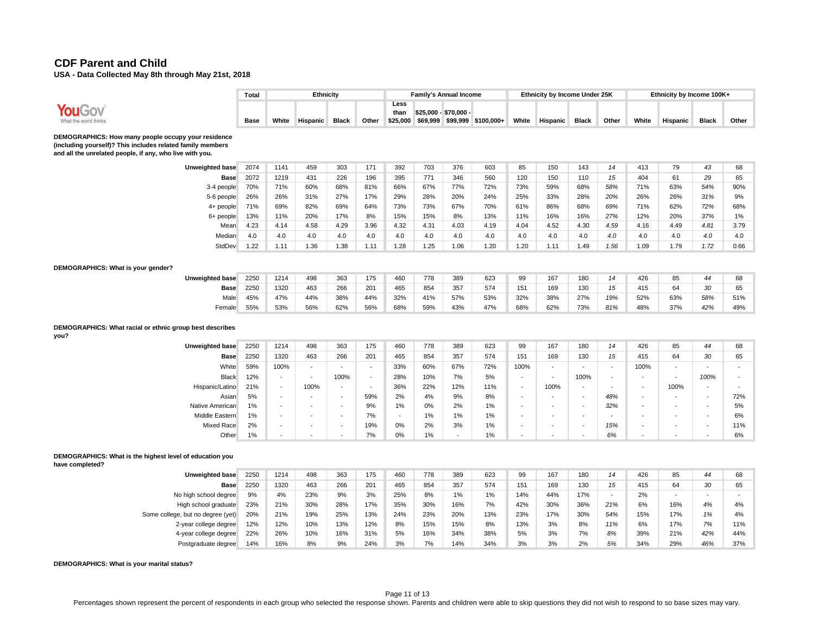|                                                                                                                                                                               | Total |                          | Ethnicity                |                          |       |                          |      | <b>Family's Annual Income</b> |                              |                          | Ethnicity by Income Under 25K |                          |       |       | Ethnicity by Income 100K+ |              |       |
|-------------------------------------------------------------------------------------------------------------------------------------------------------------------------------|-------|--------------------------|--------------------------|--------------------------|-------|--------------------------|------|-------------------------------|------------------------------|--------------------------|-------------------------------|--------------------------|-------|-------|---------------------------|--------------|-------|
| YouGov<br>What the world thinks                                                                                                                                               | Base  | White                    | <b>Hispanic</b>          | <b>Black</b>             | Other | Less<br>than<br>\$25.000 |      | \$25,000 - \$70,000 -         | \$69,999 \$99,999 \$100,000+ | White                    | Hispanic                      | <b>Black</b>             | Other | White | <b>Hispanic</b>           | <b>Black</b> | Other |
| DEMOGRAPHICS: How many people occupy your residence<br>(including yourself)? This includes related family members<br>and all the unrelated people, if any, who live with you. |       |                          |                          |                          |       |                          |      |                               |                              |                          |                               |                          |       |       |                           |              |       |
| Unweighted base                                                                                                                                                               | 2074  | 1141                     | 459                      | 303                      | 171   | 392                      | 703  | 376                           | 603                          | 85                       | 150                           | 143                      | 14    | 413   | 79                        | 43           | 68    |
| Base                                                                                                                                                                          | 2072  | 1219                     | 431                      | 226                      | 196   | 395                      | 771  | 346                           | 560                          | 120                      | 150                           | 110                      | 15    | 404   | 61                        | 29           | 65    |
| 3-4 people                                                                                                                                                                    | 70%   | 71%                      | 60%                      | 68%                      | 81%   | 66%                      | 67%  | 77%                           | 72%                          | 73%                      | 59%                           | 68%                      | 58%   | 71%   | 63%                       | 54%          | 90%   |
| 5-6 people                                                                                                                                                                    | 26%   | 26%                      | 31%                      | 27%                      | 17%   | 29%                      | 28%  | 20%                           | 24%                          | 25%                      | 33%                           | 28%                      | 20%   | 26%   | 26%                       | 31%          | 9%    |
| 4+ people                                                                                                                                                                     | 71%   | 69%                      | 82%                      | 69%                      | 64%   | 73%                      | 73%  | 67%                           | 70%                          | 61%                      | 86%                           | 68%                      | 69%   | 71%   | 62%                       | 72%          | 68%   |
| 6+ people                                                                                                                                                                     | 13%   | 11%                      | 20%                      | 17%                      | 8%    | 15%                      | 15%  | 8%                            | 13%                          | 11%                      | 16%                           | 16%                      | 27%   | 12%   | 20%                       | 37%          | $1\%$ |
| Mean                                                                                                                                                                          | 4.23  | 4.14                     | 4.58                     | 4.29                     | 3.96  | 4.32                     | 4.31 | 4.03                          | 4.19                         | 4.04                     | 4.52                          | 4.30                     | 4.59  | 4.16  | 4.49                      | 4.81         | 3.79  |
| Median                                                                                                                                                                        | 4.0   | 4.0                      | 4.0                      | 4.0                      | 4.0   | 4.0                      | 4.0  | 4.0                           | 4.0                          | 4.0                      | 4.0                           | 4.0                      | 4.0   | 4.0   | 4.0                       | 4.0          | 4.0   |
| StdDev                                                                                                                                                                        | 1.22  | 1.11                     | 1.36                     | 1.38                     | 1.11  | 1.28                     | 1.25 | 1.06                          | 1.20                         | 1.20                     | 1.11                          | 1.49                     | 1.56  | 1.09  | 1.79                      | 1.72         | 0.66  |
| DEMOGRAPHICS: What is your gender?                                                                                                                                            |       |                          |                          |                          |       |                          |      |                               |                              |                          |                               |                          |       |       |                           |              |       |
| Unweighted base                                                                                                                                                               | 2250  | 1214                     | 498                      | 363                      | 175   | 460                      | 778  | 389                           | 623                          | 99                       | 167                           | 180                      | 14    | 426   | 85                        | 44           | 68    |
| <b>Base</b>                                                                                                                                                                   | 2250  | 1320                     | 463                      | 266                      | 201   | 465                      | 854  | 357                           | 574                          | 151                      | 169                           | 130                      | 15    | 415   | 64                        | 30           | 65    |
| Male                                                                                                                                                                          | 45%   | 47%                      | 44%                      | 38%                      | 44%   | 32%                      | 41%  | 57%                           | 53%                          | 32%                      | 38%                           | 27%                      | 19%   | 52%   | 63%                       | 58%          | 51%   |
| Female                                                                                                                                                                        | 55%   | 53%                      | 56%                      | 62%                      | 56%   | 68%                      | 59%  | 43%                           | 47%                          | 68%                      | 62%                           | 73%                      | 81%   | 48%   | 37%                       | 42%          | 49%   |
| DEMOGRAPHICS: What racial or ethnic group best describes<br>you?                                                                                                              |       |                          |                          |                          |       |                          |      |                               |                              |                          |                               |                          |       |       |                           |              |       |
| Unweighted base                                                                                                                                                               | 2250  | 1214                     | 498                      | 363                      | 175   | 460                      | 778  | 389                           | 623                          | 99                       | 167                           | 180                      | 14    | 426   | 85                        | 44           | 68    |
| <b>Base</b>                                                                                                                                                                   | 2250  | 1320                     | 463                      | 266                      | 201   | 465                      | 854  | 357                           | 574                          | 151                      | 169                           | 130                      | 15    | 415   | 64                        | 30           | 65    |
| White                                                                                                                                                                         | 59%   | 100%                     | $\overline{\phantom{a}}$ | $\overline{\phantom{a}}$ |       | 33%                      | 60%  | 67%                           | 72%                          | 100%                     | $\overline{\phantom{a}}$      | $\overline{\phantom{a}}$ |       | 100%  | $\overline{\phantom{a}}$  |              |       |
| <b>Black</b>                                                                                                                                                                  | 12%   | $\overline{\phantom{a}}$ | $\overline{\phantom{a}}$ | 100%                     |       | 28%                      | 10%  | 7%                            | 5%                           | $\overline{\phantom{a}}$ | $\overline{a}$                | 100%                     |       |       | $\overline{\phantom{a}}$  | 100%         |       |
| Hispanic/Latino                                                                                                                                                               | 21%   | $\overline{\phantom{a}}$ | 100%                     |                          |       | 36%                      | 22%  | 12%                           | 11%                          | $\overline{\phantom{a}}$ | 100%                          | $\overline{\phantom{a}}$ |       |       | 100%                      |              |       |
| Asian                                                                                                                                                                         | 5%    |                          |                          |                          | 59%   | 2%                       | 4%   | 9%                            | 8%                           |                          |                               |                          | 48%   |       |                           |              | 72%   |

#### **DEMOGRAPHICS: What is the highest level of education you**

**have completed?**

| <b>Unweighted base</b>            | 2250 | 1214 | 498 | 363 | 175 | 460 | 778 | 389 | 623 | 99  | 167 | 180 | 14  | 426 | 85  | 44  | 68  |
|-----------------------------------|------|------|-----|-----|-----|-----|-----|-----|-----|-----|-----|-----|-----|-----|-----|-----|-----|
| <b>Base</b>                       | 2250 | 1320 | 463 | 266 | 201 | 465 | 854 | 357 | 574 | 151 | 169 | 130 | 15  | 415 | 64  | 30  | 65  |
| No high school degree             | 9%   | 4%   | 23% | 9%  | 3%  | 25% | 8%  | 1%  | 1%  | 14% | 44% | 17% |     | 2%  | ۰   |     |     |
| High school graduate              | 23%  | 21%  | 30% | 28% | 17% | 35% | 30% | 16% | 7%  | 42% | 30% | 36% | 21% | 6%  | 16% | 4%  | 4%  |
| Some college, but no degree (yet) | 20%  | 21%  | 19% | 25% | 13% | 24% | 23% | 20% | 13% | 23% | 17% | 30% | 54% | 15% | 17% | 1%  | 4%  |
| 2-year college degree             | 12%  | 12%  | 10% | 13% | 12% | 8%  | 15% | 15% | 8%  | 13% | 3%  | 8%  | 11% | 6%  | 17% | 7%  | 11% |
| 4-year college degree             | 22%  | 26%  | 10% | 16% | 31% | 5%  | 16% | 34% | 38% | 5%  | 3%  | 7%  | 8%  | 39% | 21% | 42% | 44% |
| Postgraduate degree               | 14%  | 16%  | 8%  | 9%  | 24% | 3%  | 7%  | 14% | 34% | 3%  | 3%  | 2%  | 5%  | 34% | 29% | 46% | 37% |

Native American 1% - - - 9% 1% 0% 2% 1% - - - *32%* - - *-* 5% Middle Eastern 1% - - - 7% - 1% 1% 1% - - - *-* - - *-* 6% Mixed Race 2% - - - 19% 0% 2% 3% 1% - - - *15%* - - *-* 11% Other 1% - - - 7% 0% 1% - 1% - - - *6%* - - *-* 6%

**DEMOGRAPHICS: What is your marital status?**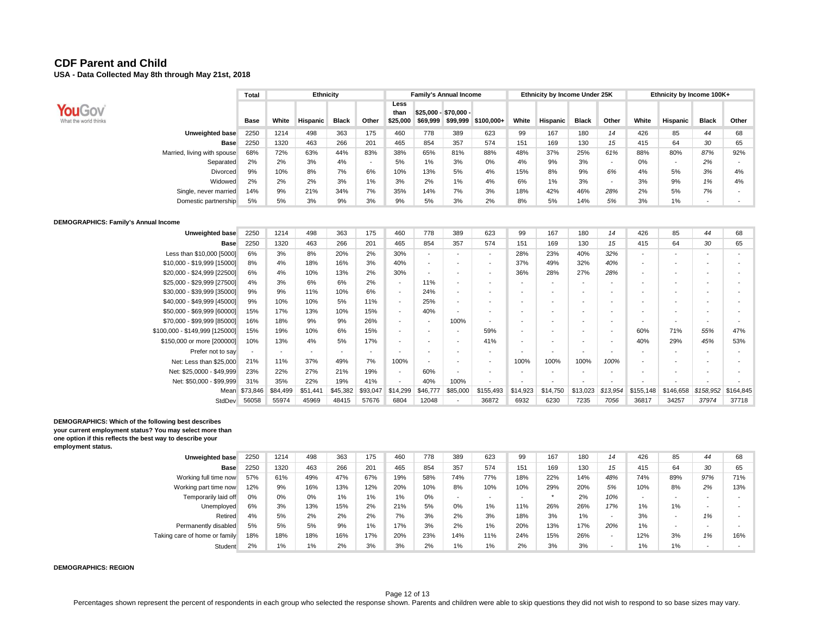|                                 | Total       |       | Ethnicity       |              |       |                          |          | <b>Family's Annual Income</b>     |            |       | Ethnicity by Income Under 25K |              |                          |       | Ethnicity by Income 100K+ |                          |       |
|---------------------------------|-------------|-------|-----------------|--------------|-------|--------------------------|----------|-----------------------------------|------------|-------|-------------------------------|--------------|--------------------------|-------|---------------------------|--------------------------|-------|
| YouGov<br>What the world thinks | <b>Base</b> | White | <b>Hispanic</b> | <b>Black</b> | Other | Less<br>than<br>\$25,000 | \$69,999 | \$25.000 - \$70.000 -<br>\$99,999 | \$100,000+ | White | Hispanic                      | <b>Black</b> | Other                    | White | Hispanic                  | <b>Black</b>             | Other |
| Unweighted base                 | 2250        | 1214  | 498             | 363          | 175   | 460                      | 778      | 389                               | 623        | 99    | 167                           | 180          | 14                       | 426   | 85                        | 44                       | 68    |
| <b>Base</b>                     | 2250        | 1320  | 463             | 266          | 201   | 465                      | 854      | 357                               | 574        | 151   | 169                           | 130          | 15                       | 415   | 64                        | 30                       | 65    |
| Married, living with spouse     | 68%         | 72%   | 63%             | 44%          | 83%   | 38%                      | 65%      | 81%                               | 88%        | 48%   | 37%                           | 25%          | 61%                      | 88%   | 80%                       | 87%                      | 92%   |
| Separated                       | 2%          | 2%    | 3%              | 4%           |       | 5%                       | 1%       | 3%                                | 0%         | 4%    | 9%                            | 3%           | $\overline{\phantom{a}}$ | 0%    | $\overline{\phantom{a}}$  | 2%                       |       |
| Divorced                        | 9%          | 10%   | 8%              | 7%           | 6%    | 10%                      | 13%      | 5%                                | 4%         | 15%   | 8%                            | 9%           | 6%                       | 4%    | 5%                        | 3%                       | 4%    |
| Widowed                         | 2%          | 2%    | 2%              | 3%           | 1%    | 3%                       | 2%       | 1%                                | 4%         | 6%    | $1\%$                         | 3%           | -                        | 3%    | 9%                        | 1%                       | 4%    |
| Single, never married           | 14%         | 9%    | 21%             | 34%          | 7%    | 35%                      | 14%      | 7%                                | 3%         | 18%   | 42%                           | 46%          | 28%                      | 2%    | 5%                        | 7%                       |       |
| Domestic partnership            | 5%          | 5%    | 3%              | 9%           | 3%    | 9%                       | 5%       | 3%                                | 2%         | 8%    | 5%                            | 14%          | 5%                       | 3%    | 1%                        | $\overline{\phantom{0}}$ |       |

#### **DEMOGRAPHICS: Family's Annual Income**

| Unweighted base                | 2250                     | 1214     | 498                      | 363                      | 175                      | 460                      | 778                      | 389                      | 623                      | 99                       | 167                      | 180                      | 14                       | 426                      | 85             | 44                       | 68                       |
|--------------------------------|--------------------------|----------|--------------------------|--------------------------|--------------------------|--------------------------|--------------------------|--------------------------|--------------------------|--------------------------|--------------------------|--------------------------|--------------------------|--------------------------|----------------|--------------------------|--------------------------|
| Base                           | 2250                     | 1320     | 463                      | 266                      | 201                      | 465                      | 854                      | 357                      | 574                      | 151                      | 169                      | 130                      | 15                       | 415                      | 64             | 30                       | 65                       |
| Less than \$10,000 [5000]      | 6%                       | 3%       | 8%                       | 20%                      | 2%                       | 30%                      | $\overline{\phantom{a}}$ |                          | $\overline{\phantom{0}}$ | 28%                      | 23%                      | 40%                      | 32%                      |                          |                | $\overline{\phantom{a}}$ |                          |
| \$10,000 - \$19,999 [15000]    | 8%                       | 4%       | 18%                      | 16%                      | 3%                       | 40%                      | $\overline{\phantom{a}}$ |                          | $\overline{\phantom{a}}$ | 37%                      | 49%                      | 32%                      | 40%                      |                          |                | $\overline{\phantom{0}}$ | $\overline{\phantom{a}}$ |
| \$20,000 - \$24,999 [22500]    | 6%                       | 4%       | 10%                      | 13%                      | 2%                       | 30%                      | $\overline{\phantom{a}}$ | $\overline{\phantom{0}}$ | $\overline{\phantom{a}}$ | 36%                      | 28%                      | 27%                      | 28%                      |                          |                | $\overline{\phantom{a}}$ |                          |
| \$25,000 - \$29,999 [27500]    | 4%                       | 3%       | 6%                       | 6%                       | 2%                       | $\overline{\phantom{a}}$ | 11%                      | $\overline{\phantom{0}}$ | $\overline{\phantom{a}}$ | $\overline{\phantom{0}}$ | $\overline{\phantom{0}}$ | $\overline{\phantom{0}}$ | $\overline{\phantom{a}}$ |                          |                | $\overline{\phantom{a}}$ |                          |
| \$30,000 - \$39,999 [35000]    | 9%                       | 9%       | 11%                      | 10%                      | 6%                       | $\overline{\phantom{a}}$ | 24%                      | $\overline{\phantom{a}}$ | $\overline{\phantom{a}}$ | $\overline{\phantom{0}}$ | $\overline{\phantom{a}}$ | $\overline{\phantom{0}}$ | $\overline{\phantom{0}}$ |                          |                |                          |                          |
| \$40,000 - \$49,999 [45000]    | 9%                       | 10%      | 10%                      | 5%                       | 11%                      | $\overline{\phantom{a}}$ | 25%                      | $\overline{\phantom{a}}$ | $\overline{\phantom{a}}$ | $\overline{\phantom{0}}$ | $\overline{\phantom{a}}$ | $\overline{\phantom{0}}$ | $\overline{\phantom{0}}$ | $\overline{\phantom{0}}$ |                | $\overline{\phantom{0}}$ |                          |
| \$50,000 - \$69,999 [60000]    | 15%                      | 17%      | 13%                      | 10%                      | 15%                      | $\overline{\phantom{a}}$ | 40%                      | $\overline{\phantom{a}}$ | $\overline{\phantom{a}}$ | $\overline{\phantom{a}}$ | $\overline{\phantom{a}}$ | $\overline{\phantom{0}}$ | $\overline{\phantom{0}}$ | $\overline{\phantom{0}}$ |                |                          |                          |
| \$70,000 - \$99,999 [85000]    | 16%                      | 18%      | 9%                       | 9%                       | 26%                      | $\overline{\phantom{a}}$ | $\overline{\phantom{a}}$ | 100%                     | $\overline{\phantom{a}}$ | $\overline{\phantom{a}}$ | $\overline{\phantom{a}}$ | $\overline{\phantom{0}}$ | $\overline{\phantom{0}}$ | $\overline{\phantom{a}}$ |                | $\overline{\phantom{0}}$ |                          |
| \$100,000 - \$149,999 [125000] | 15%                      | 19%      | 10%                      | 6%                       | 15%                      | $\overline{\phantom{a}}$ | $\overline{\phantom{a}}$ | $\overline{\phantom{a}}$ | 59%                      | $\overline{\phantom{a}}$ | $\overline{\phantom{a}}$ | $\overline{\phantom{a}}$ | $\overline{\phantom{a}}$ | 60%                      | 71%            | 55%                      | 47%                      |
| \$150,000 or more [200000]     | 10%                      | 13%      | 4%                       | 5%                       | 17%                      | $\overline{\phantom{a}}$ | $\overline{\phantom{a}}$ | $\overline{\phantom{a}}$ | 41%                      | $\overline{\phantom{0}}$ | $\overline{\phantom{a}}$ | $\overline{\phantom{a}}$ | $\overline{\phantom{a}}$ | 40%                      | 29%            | 45%                      | 53%                      |
| Prefer not to say              | $\overline{\phantom{a}}$ |          | $\overline{\phantom{a}}$ | $\overline{\phantom{a}}$ | $\overline{\phantom{a}}$ | $\overline{\phantom{a}}$ | $\overline{\phantom{a}}$ | $\overline{\phantom{a}}$ | $\overline{\phantom{a}}$ | $\overline{\phantom{a}}$ | $\overline{\phantom{a}}$ | $\overline{\phantom{a}}$ | $\overline{\phantom{a}}$ |                          |                | $\overline{\phantom{0}}$ |                          |
| Net: Less than \$25,000        | 21%                      | 11%      | 37%                      | 49%                      | 7%                       | 100%                     | $\overline{\phantom{a}}$ | $\overline{\phantom{0}}$ | $\overline{\phantom{a}}$ | 100%                     | 100%                     | 100%                     | 100%                     |                          |                |                          |                          |
| Net: \$25,0000 - \$49,999      | 23%                      | 22%      | 27%                      | 21%                      | 19%                      | $\overline{\phantom{a}}$ | 60%                      |                          | $\overline{\phantom{a}}$ |                          | $\overline{\phantom{a}}$ |                          |                          |                          |                |                          |                          |
| Net: \$50,000 - \$99,999       | 31%                      | 35%      | 22%                      | 19%                      | 41%                      | $\overline{\phantom{a}}$ | 40%                      | 100%                     | $\overline{\phantom{a}}$ | $\overline{\phantom{0}}$ | $\overline{\phantom{a}}$ | $\overline{\phantom{a}}$ | $\overline{\phantom{a}}$ | $\overline{\phantom{a}}$ | $\blacksquare$ | $\overline{\phantom{a}}$ |                          |
| Mean                           | \$73,846                 | \$84,499 | \$51,441                 | \$45,382                 | \$93,047                 | \$14,299                 | \$46,777                 | \$85,000                 | \$155,493                | \$14,923                 | \$14,750                 | \$13,023                 | \$13,954                 | \$155,148                | \$146,658      | \$158,952                | \$164,845                |
| StdDev                         | 56058                    | 55974    | 45969                    | 48415                    | 57676                    | 6804                     | 12048                    | $\overline{\phantom{a}}$ | 36872                    | 6932                     | 6230                     | 7235                     | 7056                     | 36817                    | 34257          | 37974                    | 37718                    |

#### **DEMOGRAPHICS: Which of the following best describes your current employment status? You may select more than one option if this reflects the best way to describe your employment status.**

| <b>Unweighted base</b>        | 2250 | 1214 | 498 | 363 | 175 | 460 | 778 | 389   | 623   | 99  | 167 | 180 | 14  | 426                      | 85  | 44                       | 68  |
|-------------------------------|------|------|-----|-----|-----|-----|-----|-------|-------|-----|-----|-----|-----|--------------------------|-----|--------------------------|-----|
| <b>Base</b>                   | 2250 | 1320 | 463 | 266 | 201 | 465 | 854 | 357   | 574   | 151 | 169 | 130 | 15  | 415                      | 64  | 30                       | 65  |
| Working full time now         | 57%  | 61%  | 49% | 47% | 67% | 19% | 58% | 74%   | 77%   | 18% | 22% | 14% | 48% | 74%                      | 89% | 97%                      | 71% |
| Working part time now         | 12%  | 9%   | 16% | 13% | 12% | 20% | 10% | 8%    | 10%   | 10% | 29% | 20% | 5%  | 10%                      | 8%  | 2%                       | 13% |
| Temporarily laid off          | 0%   | 0%   | 0%  | 1%  | 1%  | 1%  | 0%  |       |       |     |     | 2%  | 10% | $\overline{\phantom{0}}$ | -   | $\overline{\phantom{0}}$ |     |
| Unemployed                    | 6%   | 3%   | 13% | 15% | 2%  | 21% | 5%  | 0%    | 1%    | 11% | 26% | 26% | 17% | 1%                       | 1%  |                          |     |
| Retired                       | 4%   | 5%   | 2%  | 2%  | 2%  | 7%  | 3%  | 2%    | 3%    | 18% | 3%  | 1%  |     | 3%                       |     | 1%                       |     |
| Permanently disabled          | 5%   | 5%   | 5%  | 9%  | 1%  | 17% | 3%  | 2%    | 1%    | 20% | 13% | 17% | 20% | 1%                       | -   | $\overline{\phantom{0}}$ |     |
| Taking care of home or family | 18%  | 18%  | 18% | 16% | 17% | 20% | 23% | 14%   | 11%   | 24% | 15% | 26% | -   | 12%                      | 3%  | 1%                       | 16% |
| Student                       | 2%   | 1%   | 1%  | 2%  | 3%  | 3%  | 2%  | $1\%$ | $1\%$ | 2%  | 3%  | 3%  |     | 1%                       | 1%  |                          |     |

**DEMOGRAPHICS: REGION**